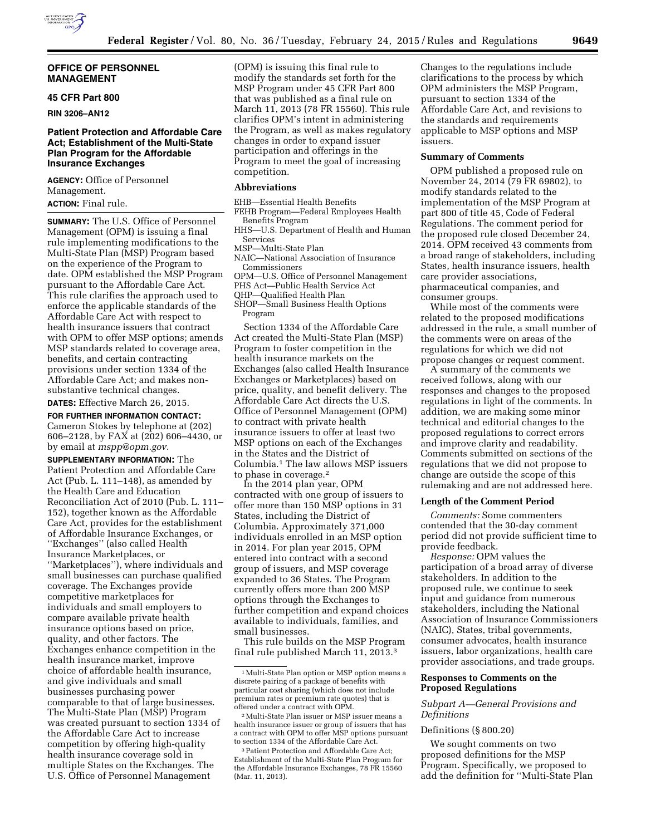

## **OFFICE OF PERSONNEL MANAGEMENT**

## **45 CFR Part 800**

**RIN 3206–AN12** 

## **Patient Protection and Affordable Care Act; Establishment of the Multi-State Plan Program for the Affordable Insurance Exchanges**

**AGENCY:** Office of Personnel Management. **ACTION:** Final rule.

**SUMMARY:** The U.S. Office of Personnel Management (OPM) is issuing a final rule implementing modifications to the Multi-State Plan (MSP) Program based on the experience of the Program to date. OPM established the MSP Program pursuant to the Affordable Care Act. This rule clarifies the approach used to enforce the applicable standards of the Affordable Care Act with respect to health insurance issuers that contract with OPM to offer MSP options; amends MSP standards related to coverage area, benefits, and certain contracting provisions under section 1334 of the Affordable Care Act; and makes nonsubstantive technical changes.

## **DATES:** Effective March 26, 2015.

**FOR FURTHER INFORMATION CONTACT:**  Cameron Stokes by telephone at (202) 606–2128, by FAX at (202) 606–4430, or by email at *[mspp@opm.gov.](mailto:mspp@opm.gov)* 

**SUPPLEMENTARY INFORMATION:** The Patient Protection and Affordable Care Act (Pub. L. 111–148), as amended by the Health Care and Education Reconciliation Act of 2010 (Pub. L. 111– 152), together known as the Affordable Care Act, provides for the establishment of Affordable Insurance Exchanges, or ''Exchanges'' (also called Health Insurance Marketplaces, or ''Marketplaces''), where individuals and small businesses can purchase qualified coverage. The Exchanges provide competitive marketplaces for individuals and small employers to compare available private health insurance options based on price, quality, and other factors. The Exchanges enhance competition in the health insurance market, improve choice of affordable health insurance, and give individuals and small businesses purchasing power comparable to that of large businesses. The Multi-State Plan (MSP) Program was created pursuant to section 1334 of the Affordable Care Act to increase competition by offering high-quality health insurance coverage sold in multiple States on the Exchanges. The U.S. Office of Personnel Management

(OPM) is issuing this final rule to modify the standards set forth for the MSP Program under 45 CFR Part 800 that was published as a final rule on March 11, 2013 (78 FR 15560). This rule clarifies OPM's intent in administering the Program, as well as makes regulatory changes in order to expand issuer participation and offerings in the Program to meet the goal of increasing competition.

### **Abbreviations**

EHB—Essential Health Benefits

FEHB Program—Federal Employees Health Benefits Program

- HHS—U.S. Department of Health and Human Services
- MSP—Multi-State Plan
- NAIC—National Association of Insurance Commissioners
- OPM—U.S. Office of Personnel Management

PHS Act—Public Health Service Act

QHP—Qualified Health Plan

SHOP—Small Business Health Options Program

Section 1334 of the Affordable Care Act created the Multi-State Plan (MSP) Program to foster competition in the health insurance markets on the Exchanges (also called Health Insurance Exchanges or Marketplaces) based on price, quality, and benefit delivery. The Affordable Care Act directs the U.S. Office of Personnel Management (OPM) to contract with private health insurance issuers to offer at least two MSP options on each of the Exchanges in the States and the District of Columbia.1 The law allows MSP issuers to phase in coverage.2

In the 2014 plan year, OPM contracted with one group of issuers to offer more than 150 MSP options in 31 States, including the District of Columbia. Approximately 371,000 individuals enrolled in an MSP option in 2014. For plan year 2015, OPM entered into contract with a second group of issuers, and MSP coverage expanded to 36 States. The Program currently offers more than 200 MSP options through the Exchanges to further competition and expand choices available to individuals, families, and small businesses.

This rule builds on the MSP Program final rule published March 11, 2013.3

Changes to the regulations include clarifications to the process by which OPM administers the MSP Program, pursuant to section 1334 of the Affordable Care Act, and revisions to the standards and requirements applicable to MSP options and MSP issuers.

#### **Summary of Comments**

OPM published a proposed rule on November 24, 2014 (79 FR 69802), to modify standards related to the implementation of the MSP Program at part 800 of title 45, Code of Federal Regulations. The comment period for the proposed rule closed December 24, 2014. OPM received 43 comments from a broad range of stakeholders, including States, health insurance issuers, health care provider associations, pharmaceutical companies, and consumer groups.

While most of the comments were related to the proposed modifications addressed in the rule, a small number of the comments were on areas of the regulations for which we did not propose changes or request comment.

A summary of the comments we received follows, along with our responses and changes to the proposed regulations in light of the comments. In addition, we are making some minor technical and editorial changes to the proposed regulations to correct errors and improve clarity and readability. Comments submitted on sections of the regulations that we did not propose to change are outside the scope of this rulemaking and are not addressed here.

## **Length of the Comment Period**

*Comments:* Some commenters contended that the 30-day comment period did not provide sufficient time to provide feedback.

*Response:* OPM values the participation of a broad array of diverse stakeholders. In addition to the proposed rule, we continue to seek input and guidance from numerous stakeholders, including the National Association of Insurance Commissioners (NAIC), States, tribal governments, consumer advocates, health insurance issuers, labor organizations, health care provider associations, and trade groups.

## **Responses to Comments on the Proposed Regulations**

## *Subpart A—General Provisions and Definitions*

## Definitions (§ 800.20)

We sought comments on two proposed definitions for the MSP Program. Specifically, we proposed to add the definition for ''Multi-State Plan

<sup>1</sup>Multi-State Plan option or MSP option means a discrete pairing of a package of benefits with particular cost sharing (which does not include premium rates or premium rate quotes) that is offered under a contract with OPM.

<sup>2</sup>Multi-State Plan issuer or MSP issuer means a health insurance issuer or group of issuers that has a contract with OPM to offer MSP options pursuant to section 1334 of the Affordable Care Act.

<sup>3</sup>Patient Protection and Affordable Care Act; Establishment of the Multi-State Plan Program for the Affordable Insurance Exchanges, 78 FR 15560 (Mar. 11, 2013).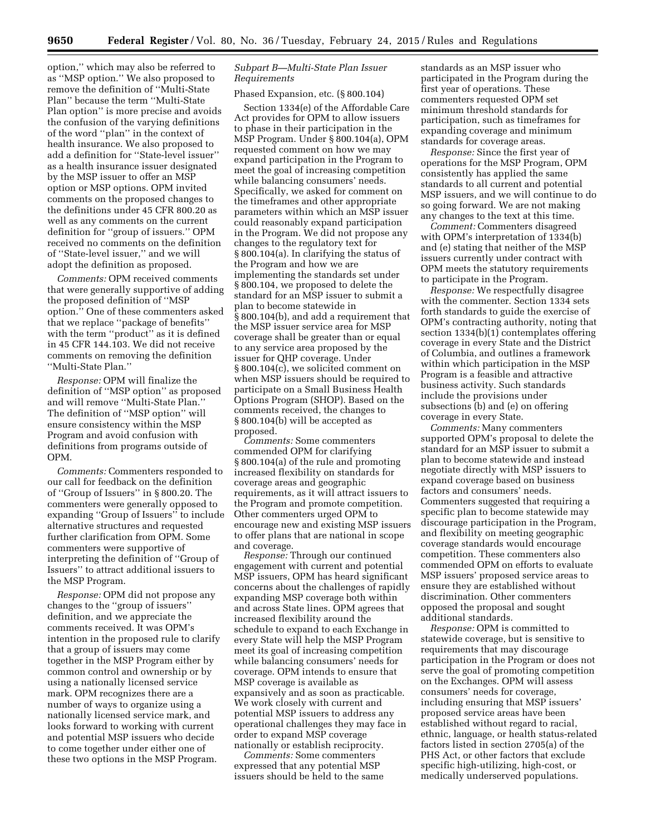option,'' which may also be referred to as ''MSP option.'' We also proposed to remove the definition of ''Multi-State Plan'' because the term ''Multi-State Plan option'' is more precise and avoids the confusion of the varying definitions of the word ''plan'' in the context of health insurance. We also proposed to add a definition for ''State-level issuer'' as a health insurance issuer designated by the MSP issuer to offer an MSP option or MSP options. OPM invited comments on the proposed changes to the definitions under 45 CFR 800.20 as well as any comments on the current definition for ''group of issuers.'' OPM received no comments on the definition of ''State-level issuer,'' and we will adopt the definition as proposed.

*Comments:* OPM received comments that were generally supportive of adding the proposed definition of ''MSP option.'' One of these commenters asked that we replace ''package of benefits'' with the term ''product'' as it is defined in 45 CFR 144.103. We did not receive comments on removing the definition ''Multi-State Plan.''

*Response:* OPM will finalize the definition of ''MSP option'' as proposed and will remove ''Multi-State Plan.'' The definition of ''MSP option'' will ensure consistency within the MSP Program and avoid confusion with definitions from programs outside of OPM.

*Comments:* Commenters responded to our call for feedback on the definition of ''Group of Issuers'' in § 800.20. The commenters were generally opposed to expanding ''Group of Issuers'' to include alternative structures and requested further clarification from OPM. Some commenters were supportive of interpreting the definition of ''Group of Issuers'' to attract additional issuers to the MSP Program.

*Response:* OPM did not propose any changes to the ''group of issuers'' definition, and we appreciate the comments received. It was OPM's intention in the proposed rule to clarify that a group of issuers may come together in the MSP Program either by common control and ownership or by using a nationally licensed service mark. OPM recognizes there are a number of ways to organize using a nationally licensed service mark, and looks forward to working with current and potential MSP issuers who decide to come together under either one of these two options in the MSP Program.

# *Subpart B—Multi-State Plan Issuer Requirements*

# Phased Expansion, etc. (§ 800.104)

Section 1334(e) of the Affordable Care Act provides for OPM to allow issuers to phase in their participation in the MSP Program. Under § 800.104(a), OPM requested comment on how we may expand participation in the Program to meet the goal of increasing competition while balancing consumers' needs. Specifically, we asked for comment on the timeframes and other appropriate parameters within which an MSP issuer could reasonably expand participation in the Program. We did not propose any changes to the regulatory text for § 800.104(a). In clarifying the status of the Program and how we are implementing the standards set under § 800.104, we proposed to delete the standard for an MSP issuer to submit a plan to become statewide in § 800.104(b), and add a requirement that the MSP issuer service area for MSP coverage shall be greater than or equal to any service area proposed by the issuer for QHP coverage. Under § 800.104(c), we solicited comment on when MSP issuers should be required to participate on a Small Business Health Options Program (SHOP). Based on the comments received, the changes to § 800.104(b) will be accepted as proposed.

*Comments:* Some commenters commended OPM for clarifying § 800.104(a) of the rule and promoting increased flexibility on standards for coverage areas and geographic requirements, as it will attract issuers to the Program and promote competition. Other commenters urged OPM to encourage new and existing MSP issuers to offer plans that are national in scope and coverage.

*Response:* Through our continued engagement with current and potential MSP issuers, OPM has heard significant concerns about the challenges of rapidly expanding MSP coverage both within and across State lines. OPM agrees that increased flexibility around the schedule to expand to each Exchange in every State will help the MSP Program meet its goal of increasing competition while balancing consumers' needs for coverage. OPM intends to ensure that MSP coverage is available as expansively and as soon as practicable. We work closely with current and potential MSP issuers to address any operational challenges they may face in order to expand MSP coverage nationally or establish reciprocity.

*Comments:* Some commenters expressed that any potential MSP issuers should be held to the same

standards as an MSP issuer who participated in the Program during the first year of operations. These commenters requested OPM set minimum threshold standards for participation, such as timeframes for expanding coverage and minimum standards for coverage areas.

*Response:* Since the first year of operations for the MSP Program, OPM consistently has applied the same standards to all current and potential MSP issuers, and we will continue to do so going forward. We are not making any changes to the text at this time.

*Comment:* Commenters disagreed with OPM's interpretation of 1334(b) and (e) stating that neither of the MSP issuers currently under contract with OPM meets the statutory requirements to participate in the Program.

*Response:* We respectfully disagree with the commenter. Section 1334 sets forth standards to guide the exercise of OPM's contracting authority, noting that section 1334(b)(1) contemplates offering coverage in every State and the District of Columbia, and outlines a framework within which participation in the MSP Program is a feasible and attractive business activity. Such standards include the provisions under subsections (b) and (e) on offering coverage in every State.

*Comments:* Many commenters supported OPM's proposal to delete the standard for an MSP issuer to submit a plan to become statewide and instead negotiate directly with MSP issuers to expand coverage based on business factors and consumers' needs. Commenters suggested that requiring a specific plan to become statewide may discourage participation in the Program, and flexibility on meeting geographic coverage standards would encourage competition. These commenters also commended OPM on efforts to evaluate MSP issuers' proposed service areas to ensure they are established without discrimination. Other commenters opposed the proposal and sought additional standards.

*Response:* OPM is committed to statewide coverage, but is sensitive to requirements that may discourage participation in the Program or does not serve the goal of promoting competition on the Exchanges. OPM will assess consumers' needs for coverage, including ensuring that MSP issuers' proposed service areas have been established without regard to racial, ethnic, language, or health status-related factors listed in section 2705(a) of the PHS Act, or other factors that exclude specific high-utilizing, high-cost, or medically underserved populations.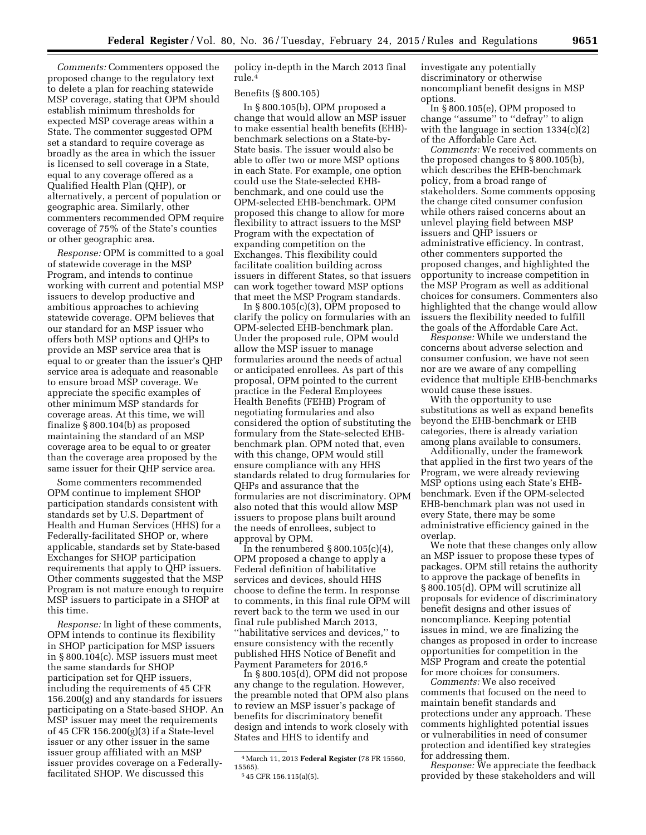*Comments:* Commenters opposed the proposed change to the regulatory text to delete a plan for reaching statewide MSP coverage, stating that OPM should establish minimum thresholds for expected MSP coverage areas within a State. The commenter suggested OPM set a standard to require coverage as broadly as the area in which the issuer is licensed to sell coverage in a State, equal to any coverage offered as a Qualified Health Plan (QHP), or alternatively, a percent of population or geographic area. Similarly, other commenters recommended OPM require coverage of 75% of the State's counties or other geographic area.

*Response:* OPM is committed to a goal of statewide coverage in the MSP Program, and intends to continue working with current and potential MSP issuers to develop productive and ambitious approaches to achieving statewide coverage. OPM believes that our standard for an MSP issuer who offers both MSP options and QHPs to provide an MSP service area that is equal to or greater than the issuer's QHP service area is adequate and reasonable to ensure broad MSP coverage. We appreciate the specific examples of other minimum MSP standards for coverage areas. At this time, we will finalize § 800.104(b) as proposed maintaining the standard of an MSP coverage area to be equal to or greater than the coverage area proposed by the same issuer for their OHP service area.

Some commenters recommended OPM continue to implement SHOP participation standards consistent with standards set by U.S. Department of Health and Human Services (HHS) for a Federally-facilitated SHOP or, where applicable, standards set by State-based Exchanges for SHOP participation requirements that apply to QHP issuers. Other comments suggested that the MSP Program is not mature enough to require MSP issuers to participate in a SHOP at this time.

*Response:* In light of these comments, OPM intends to continue its flexibility in SHOP participation for MSP issuers in § 800.104(c). MSP issuers must meet the same standards for SHOP participation set for QHP issuers, including the requirements of 45 CFR 156.200(g) and any standards for issuers participating on a State-based SHOP. An MSP issuer may meet the requirements of 45 CFR 156.200(g)(3) if a State-level issuer or any other issuer in the same issuer group affiliated with an MSP issuer provides coverage on a Federallyfacilitated SHOP. We discussed this

policy in-depth in the March 2013 final rule.4

#### Benefits (§ 800.105)

In § 800.105(b), OPM proposed a change that would allow an MSP issuer to make essential health benefits (EHB) benchmark selections on a State-by-State basis. The issuer would also be able to offer two or more MSP options in each State. For example, one option could use the State-selected EHBbenchmark, and one could use the OPM-selected EHB-benchmark. OPM proposed this change to allow for more flexibility to attract issuers to the MSP Program with the expectation of expanding competition on the Exchanges. This flexibility could facilitate coalition building across issuers in different States, so that issuers can work together toward MSP options that meet the MSP Program standards.

In  $\S 800.105(c)(3)$ , OPM proposed to clarify the policy on formularies with an OPM-selected EHB-benchmark plan. Under the proposed rule, OPM would allow the MSP issuer to manage formularies around the needs of actual or anticipated enrollees. As part of this proposal, OPM pointed to the current practice in the Federal Employees Health Benefits (FEHB) Program of negotiating formularies and also considered the option of substituting the formulary from the State-selected EHBbenchmark plan. OPM noted that, even with this change, OPM would still ensure compliance with any HHS standards related to drug formularies for QHPs and assurance that the formularies are not discriminatory. OPM also noted that this would allow MSP issuers to propose plans built around the needs of enrollees, subject to approval by OPM.

In the renumbered  $\S 800.105(c)(4)$ , OPM proposed a change to apply a Federal definition of habilitative services and devices, should HHS choose to define the term. In response to comments, in this final rule OPM will revert back to the term we used in our final rule published March 2013, ''habilitative services and devices,'' to ensure consistency with the recently published HHS Notice of Benefit and Payment Parameters for 2016.5

In § 800.105(d), OPM did not propose any change to the regulation. However, the preamble noted that OPM also plans to review an MSP issuer's package of benefits for discriminatory benefit design and intends to work closely with States and HHS to identify and

investigate any potentially discriminatory or otherwise noncompliant benefit designs in MSP options.

In § 800.105(e), OPM proposed to change ''assume'' to ''defray'' to align with the language in section 1334(c)(2) of the Affordable Care Act.

*Comments:* We received comments on the proposed changes to § 800.105(b), which describes the EHB-benchmark policy, from a broad range of stakeholders. Some comments opposing the change cited consumer confusion while others raised concerns about an unlevel playing field between MSP issuers and QHP issuers or administrative efficiency. In contrast, other commenters supported the proposed changes, and highlighted the opportunity to increase competition in the MSP Program as well as additional choices for consumers. Commenters also highlighted that the change would allow issuers the flexibility needed to fulfill the goals of the Affordable Care Act.

*Response:* While we understand the concerns about adverse selection and consumer confusion, we have not seen nor are we aware of any compelling evidence that multiple EHB-benchmarks would cause these issues.

With the opportunity to use substitutions as well as expand benefits beyond the EHB-benchmark or EHB categories, there is already variation among plans available to consumers.

Additionally, under the framework that applied in the first two years of the Program, we were already reviewing MSP options using each State's EHBbenchmark. Even if the OPM-selected EHB-benchmark plan was not used in every State, there may be some administrative efficiency gained in the overlap.

We note that these changes only allow an MSP issuer to propose these types of packages. OPM still retains the authority to approve the package of benefits in § 800.105(d). OPM will scrutinize all proposals for evidence of discriminatory benefit designs and other issues of noncompliance. Keeping potential issues in mind, we are finalizing the changes as proposed in order to increase opportunities for competition in the MSP Program and create the potential for more choices for consumers.

*Comments:* We also received comments that focused on the need to maintain benefit standards and protections under any approach. These comments highlighted potential issues or vulnerabilities in need of consumer protection and identified key strategies for addressing them.

*Response:* We appreciate the feedback provided by these stakeholders and will

<sup>4</sup>March 11, 2013 **Federal Register** (78 FR 15560, 15565).

<sup>5</sup> 45 CFR 156.115(a)(5).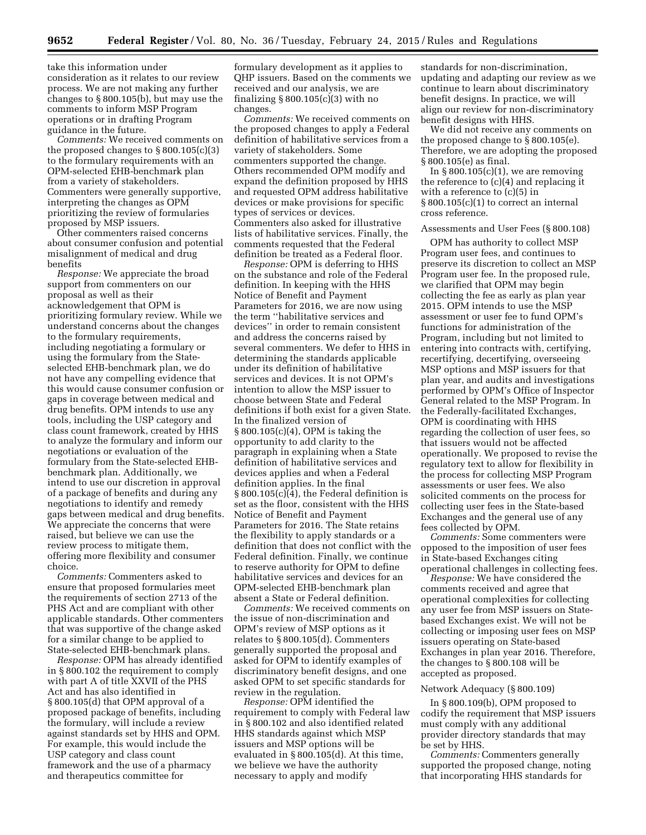take this information under consideration as it relates to our review process. We are not making any further changes to § 800.105(b), but may use the comments to inform MSP Program operations or in drafting Program guidance in the future.

*Comments:* We received comments on the proposed changes to  $\S 800.105(c)(3)$ to the formulary requirements with an OPM-selected EHB-benchmark plan from a variety of stakeholders. Commenters were generally supportive, interpreting the changes as OPM prioritizing the review of formularies proposed by MSP issuers.

Other commenters raised concerns about consumer confusion and potential misalignment of medical and drug benefits

*Response:* We appreciate the broad support from commenters on our proposal as well as their acknowledgement that OPM is prioritizing formulary review. While we understand concerns about the changes to the formulary requirements, including negotiating a formulary or using the formulary from the Stateselected EHB-benchmark plan, we do not have any compelling evidence that this would cause consumer confusion or gaps in coverage between medical and drug benefits. OPM intends to use any tools, including the USP category and class count framework, created by HHS to analyze the formulary and inform our negotiations or evaluation of the formulary from the State-selected EHBbenchmark plan. Additionally, we intend to use our discretion in approval of a package of benefits and during any negotiations to identify and remedy gaps between medical and drug benefits. We appreciate the concerns that were raised, but believe we can use the review process to mitigate them, offering more flexibility and consumer choice.

*Comments:* Commenters asked to ensure that proposed formularies meet the requirements of section 2713 of the PHS Act and are compliant with other applicable standards. Other commenters that was supportive of the change asked for a similar change to be applied to State-selected EHB-benchmark plans.

*Response:* OPM has already identified in § 800.102 the requirement to comply with part A of title XXVII of the PHS Act and has also identified in § 800.105(d) that OPM approval of a proposed package of benefits, including the formulary, will include a review against standards set by HHS and OPM. For example, this would include the USP category and class count framework and the use of a pharmacy and therapeutics committee for

formulary development as it applies to QHP issuers. Based on the comments we received and our analysis, we are finalizing  $\S 800.105(c)(3)$  with no changes.

*Comments:* We received comments on the proposed changes to apply a Federal definition of habilitative services from a variety of stakeholders. Some commenters supported the change. Others recommended OPM modify and expand the definition proposed by HHS and requested OPM address habilitative devices or make provisions for specific types of services or devices. Commenters also asked for illustrative lists of habilitative services. Finally, the comments requested that the Federal definition be treated as a Federal floor.

*Response:* OPM is deferring to HHS on the substance and role of the Federal definition. In keeping with the HHS Notice of Benefit and Payment Parameters for 2016, we are now using the term ''habilitative services and devices'' in order to remain consistent and address the concerns raised by several commenters. We defer to HHS in determining the standards applicable under its definition of habilitative services and devices. It is not OPM's intention to allow the MSP issuer to choose between State and Federal definitions if both exist for a given State. In the finalized version of § 800.105(c)(4), OPM is taking the opportunity to add clarity to the paragraph in explaining when a State definition of habilitative services and devices applies and when a Federal definition applies. In the final § 800.105(c)(4), the Federal definition is set as the floor, consistent with the HHS Notice of Benefit and Payment Parameters for 2016. The State retains the flexibility to apply standards or a definition that does not conflict with the Federal definition. Finally, we continue to reserve authority for OPM to define habilitative services and devices for an OPM-selected EHB-benchmark plan absent a State or Federal definition.

*Comments:* We received comments on the issue of non-discrimination and OPM's review of MSP options as it relates to § 800.105(d). Commenters generally supported the proposal and asked for OPM to identify examples of discriminatory benefit designs, and one asked OPM to set specific standards for review in the regulation.

*Response:* OPM identified the requirement to comply with Federal law in § 800.102 and also identified related HHS standards against which MSP issuers and MSP options will be evaluated in § 800.105(d). At this time, we believe we have the authority necessary to apply and modify

standards for non-discrimination, updating and adapting our review as we continue to learn about discriminatory benefit designs. In practice, we will align our review for non-discriminatory benefit designs with HHS.

We did not receive any comments on the proposed change to § 800.105(e). Therefore, we are adopting the proposed § 800.105(e) as final.

In  $\S 800.105(c)(1)$ , we are removing the reference to (c)(4) and replacing it with a reference to (c)(5) in § 800.105(c)(1) to correct an internal cross reference.

### Assessments and User Fees (§ 800.108)

OPM has authority to collect MSP Program user fees, and continues to preserve its discretion to collect an MSP Program user fee. In the proposed rule, we clarified that OPM may begin collecting the fee as early as plan year 2015. OPM intends to use the MSP assessment or user fee to fund OPM's functions for administration of the Program, including but not limited to entering into contracts with, certifying, recertifying, decertifying, overseeing MSP options and MSP issuers for that plan year, and audits and investigations performed by OPM's Office of Inspector General related to the MSP Program. In the Federally-facilitated Exchanges, OPM is coordinating with HHS regarding the collection of user fees, so that issuers would not be affected operationally. We proposed to revise the regulatory text to allow for flexibility in the process for collecting MSP Program assessments or user fees. We also solicited comments on the process for collecting user fees in the State-based Exchanges and the general use of any fees collected by OPM.

*Comments:* Some commenters were opposed to the imposition of user fees in State-based Exchanges citing operational challenges in collecting fees.

*Response:* We have considered the comments received and agree that operational complexities for collecting any user fee from MSP issuers on Statebased Exchanges exist. We will not be collecting or imposing user fees on MSP issuers operating on State-based Exchanges in plan year 2016. Therefore, the changes to § 800.108 will be accepted as proposed.

### Network Adequacy (§ 800.109)

In § 800.109(b), OPM proposed to codify the requirement that MSP issuers must comply with any additional provider directory standards that may be set by HHS.

*Comments:* Commenters generally supported the proposed change, noting that incorporating HHS standards for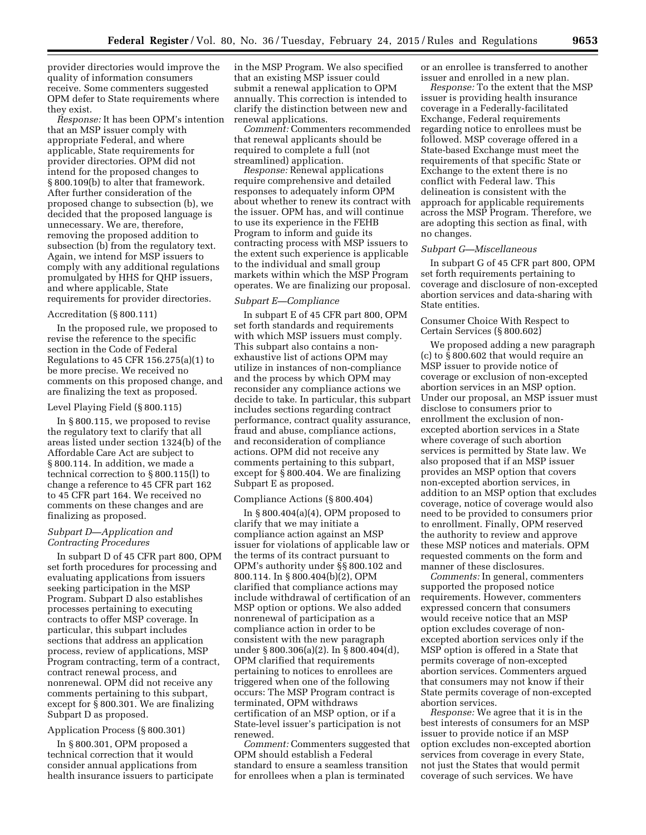provider directories would improve the quality of information consumers receive. Some commenters suggested OPM defer to State requirements where they exist.

*Response:* It has been OPM's intention that an MSP issuer comply with appropriate Federal, and where applicable, State requirements for provider directories. OPM did not intend for the proposed changes to § 800.109(b) to alter that framework. After further consideration of the proposed change to subsection (b), we decided that the proposed language is unnecessary. We are, therefore, removing the proposed addition to subsection (b) from the regulatory text. Again, we intend for MSP issuers to comply with any additional regulations promulgated by HHS for QHP issuers, and where applicable, State requirements for provider directories.

### Accreditation (§ 800.111)

In the proposed rule, we proposed to revise the reference to the specific section in the Code of Federal Regulations to 45 CFR 156.275(a)(1) to be more precise. We received no comments on this proposed change, and are finalizing the text as proposed.

#### Level Playing Field (§ 800.115)

In § 800.115, we proposed to revise the regulatory text to clarify that all areas listed under section 1324(b) of the Affordable Care Act are subject to § 800.114. In addition, we made a technical correction to § 800.115(l) to change a reference to 45 CFR part 162 to 45 CFR part 164. We received no comments on these changes and are finalizing as proposed.

## *Subpart D—Application and Contracting Procedures*

In subpart D of 45 CFR part 800, OPM set forth procedures for processing and evaluating applications from issuers seeking participation in the MSP Program. Subpart D also establishes processes pertaining to executing contracts to offer MSP coverage. In particular, this subpart includes sections that address an application process, review of applications, MSP Program contracting, term of a contract, contract renewal process, and nonrenewal. OPM did not receive any comments pertaining to this subpart, except for  $\bar{\S}$  800.301. We are finalizing Subpart D as proposed.

#### Application Process (§ 800.301)

In § 800.301, OPM proposed a technical correction that it would consider annual applications from health insurance issuers to participate

in the MSP Program. We also specified that an existing MSP issuer could submit a renewal application to OPM annually. This correction is intended to clarify the distinction between new and renewal applications.

*Comment:* Commenters recommended that renewal applicants should be required to complete a full (not streamlined) application.

*Response:* Renewal applications require comprehensive and detailed responses to adequately inform OPM about whether to renew its contract with the issuer. OPM has, and will continue to use its experience in the FEHB Program to inform and guide its contracting process with MSP issuers to the extent such experience is applicable to the individual and small group markets within which the MSP Program operates. We are finalizing our proposal.

# *Subpart E—Compliance*

In subpart E of 45 CFR part 800, OPM set forth standards and requirements with which MSP issuers must comply. This subpart also contains a nonexhaustive list of actions OPM may utilize in instances of non-compliance and the process by which OPM may reconsider any compliance actions we decide to take. In particular, this subpart includes sections regarding contract performance, contract quality assurance, fraud and abuse, compliance actions, and reconsideration of compliance actions. OPM did not receive any comments pertaining to this subpart, except for § 800.404. We are finalizing Subpart E as proposed.

## Compliance Actions (§ 800.404)

In § 800.404(a)(4), OPM proposed to clarify that we may initiate a compliance action against an MSP issuer for violations of applicable law or the terms of its contract pursuant to OPM's authority under §§ 800.102 and 800.114. In § 800.404(b)(2), OPM clarified that compliance actions may include withdrawal of certification of an MSP option or options. We also added nonrenewal of participation as a compliance action in order to be consistent with the new paragraph under § 800.306(a)(2). In § 800.404(d), OPM clarified that requirements pertaining to notices to enrollees are triggered when one of the following occurs: The MSP Program contract is terminated, OPM withdraws certification of an MSP option, or if a State-level issuer's participation is not renewed.

*Comment:* Commenters suggested that OPM should establish a Federal standard to ensure a seamless transition for enrollees when a plan is terminated

or an enrollee is transferred to another issuer and enrolled in a new plan.

*Response:* To the extent that the MSP issuer is providing health insurance coverage in a Federally-facilitated Exchange, Federal requirements regarding notice to enrollees must be followed. MSP coverage offered in a State-based Exchange must meet the requirements of that specific State or Exchange to the extent there is no conflict with Federal law. This delineation is consistent with the approach for applicable requirements across the MSP Program. Therefore, we are adopting this section as final, with no changes.

### *Subpart G—Miscellaneous*

In subpart G of 45 CFR part 800, OPM set forth requirements pertaining to coverage and disclosure of non-excepted abortion services and data-sharing with State entities.

## Consumer Choice With Respect to Certain Services (§ 800.602)

We proposed adding a new paragraph (c) to § 800.602 that would require an MSP issuer to provide notice of coverage or exclusion of non-excepted abortion services in an MSP option. Under our proposal, an MSP issuer must disclose to consumers prior to enrollment the exclusion of nonexcepted abortion services in a State where coverage of such abortion services is permitted by State law. We also proposed that if an MSP issuer provides an MSP option that covers non-excepted abortion services, in addition to an MSP option that excludes coverage, notice of coverage would also need to be provided to consumers prior to enrollment. Finally, OPM reserved the authority to review and approve these MSP notices and materials. OPM requested comments on the form and manner of these disclosures.

*Comments:* In general, commenters supported the proposed notice requirements. However, commenters expressed concern that consumers would receive notice that an MSP option excludes coverage of nonexcepted abortion services only if the MSP option is offered in a State that permits coverage of non-excepted abortion services. Commenters argued that consumers may not know if their State permits coverage of non-excepted abortion services.

*Response:* We agree that it is in the best interests of consumers for an MSP issuer to provide notice if an MSP option excludes non-excepted abortion services from coverage in every State, not just the States that would permit coverage of such services. We have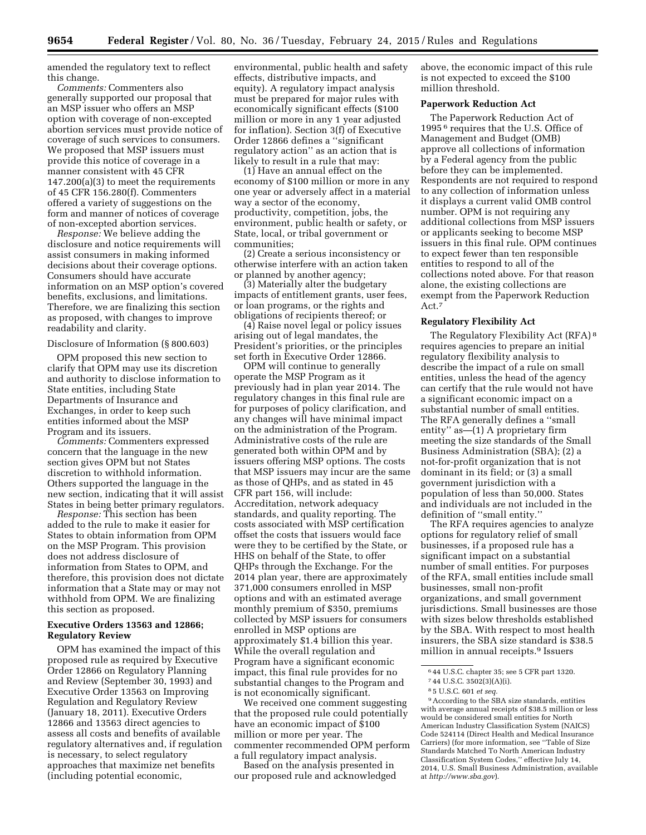amended the regulatory text to reflect this change.

*Comments:* Commenters also generally supported our proposal that an MSP issuer who offers an MSP option with coverage of non-excepted abortion services must provide notice of coverage of such services to consumers. We proposed that MSP issuers must provide this notice of coverage in a manner consistent with 45 CFR 147.200(a)(3) to meet the requirements of 45 CFR 156.280(f). Commenters offered a variety of suggestions on the form and manner of notices of coverage of non-excepted abortion services.

*Response:* We believe adding the disclosure and notice requirements will assist consumers in making informed decisions about their coverage options. Consumers should have accurate information on an MSP option's covered benefits, exclusions, and limitations. Therefore, we are finalizing this section as proposed, with changes to improve readability and clarity.

#### Disclosure of Information (§ 800.603)

OPM proposed this new section to clarify that OPM may use its discretion and authority to disclose information to State entities, including State Departments of Insurance and Exchanges, in order to keep such entities informed about the MSP Program and its issuers.

*Comments:* Commenters expressed concern that the language in the new section gives OPM but not States discretion to withhold information. Others supported the language in the new section, indicating that it will assist States in being better primary regulators.

*Response:* This section has been added to the rule to make it easier for States to obtain information from OPM on the MSP Program. This provision does not address disclosure of information from States to OPM, and therefore, this provision does not dictate information that a State may or may not withhold from OPM. We are finalizing this section as proposed.

## **Executive Orders 13563 and 12866; Regulatory Review**

OPM has examined the impact of this proposed rule as required by Executive Order 12866 on Regulatory Planning and Review (September 30, 1993) and Executive Order 13563 on Improving Regulation and Regulatory Review (January 18, 2011). Executive Orders 12866 and 13563 direct agencies to assess all costs and benefits of available regulatory alternatives and, if regulation is necessary, to select regulatory approaches that maximize net benefits (including potential economic,

environmental, public health and safety effects, distributive impacts, and equity). A regulatory impact analysis must be prepared for major rules with economically significant effects (\$100 million or more in any 1 year adjusted for inflation). Section 3(f) of Executive Order 12866 defines a ''significant regulatory action'' as an action that is likely to result in a rule that may:

(1) Have an annual effect on the economy of \$100 million or more in any one year or adversely affect in a material way a sector of the economy, productivity, competition, jobs, the environment, public health or safety, or State, local, or tribal government or communities;

(2) Create a serious inconsistency or otherwise interfere with an action taken or planned by another agency;

(3) Materially alter the budgetary impacts of entitlement grants, user fees, or loan programs, or the rights and obligations of recipients thereof; or

(4) Raise novel legal or policy issues arising out of legal mandates, the President's priorities, or the principles set forth in Executive Order 12866.

OPM will continue to generally operate the MSP Program as it previously had in plan year 2014. The regulatory changes in this final rule are for purposes of policy clarification, and any changes will have minimal impact on the administration of the Program. Administrative costs of the rule are generated both within OPM and by issuers offering MSP options. The costs that MSP issuers may incur are the same as those of QHPs, and as stated in 45 CFR part 156, will include: Accreditation, network adequacy standards, and quality reporting. The costs associated with MSP certification offset the costs that issuers would face were they to be certified by the State, or HHS on behalf of the State, to offer QHPs through the Exchange. For the 2014 plan year, there are approximately 371,000 consumers enrolled in MSP options and with an estimated average monthly premium of \$350, premiums collected by MSP issuers for consumers enrolled in MSP options are approximately \$1.4 billion this year. While the overall regulation and Program have a significant economic impact, this final rule provides for no substantial changes to the Program and is not economically significant.

We received one comment suggesting that the proposed rule could potentially have an economic impact of \$100 million or more per year. The commenter recommended OPM perform a full regulatory impact analysis.

Based on the analysis presented in our proposed rule and acknowledged above, the economic impact of this rule is not expected to exceed the \$100 million threshold.

## **Paperwork Reduction Act**

The Paperwork Reduction Act of 1995 6 requires that the U.S. Office of Management and Budget (OMB) approve all collections of information by a Federal agency from the public before they can be implemented. Respondents are not required to respond to any collection of information unless it displays a current valid OMB control number. OPM is not requiring any additional collections from MSP issuers or applicants seeking to become MSP issuers in this final rule. OPM continues to expect fewer than ten responsible entities to respond to all of the collections noted above. For that reason alone, the existing collections are exempt from the Paperwork Reduction Act.7

#### **Regulatory Flexibility Act**

The Regulatory Flexibility Act (RFA) 8 requires agencies to prepare an initial regulatory flexibility analysis to describe the impact of a rule on small entities, unless the head of the agency can certify that the rule would not have a significant economic impact on a substantial number of small entities. The RFA generally defines a ''small entity'' as—(1) A proprietary firm meeting the size standards of the Small Business Administration (SBA); (2) a not-for-profit organization that is not dominant in its field; or (3) a small government jurisdiction with a population of less than 50,000. States and individuals are not included in the definition of ''small entity.''

The RFA requires agencies to analyze options for regulatory relief of small businesses, if a proposed rule has a significant impact on a substantial number of small entities. For purposes of the RFA, small entities include small businesses, small non-profit organizations, and small government jurisdictions. Small businesses are those with sizes below thresholds established by the SBA. With respect to most health insurers, the SBA size standard is \$38.5 million in annual receipts.9 Issuers

9According to the SBA size standards, entities with average annual receipts of \$38.5 million or less would be considered small entities for North American Industry Classification System (NAICS) Code 524114 (Direct Health and Medical Insurance Carriers) (for more information, see ''Table of Size Standards Matched To North American Industry Classification System Codes,'' effective July 14, 2014, U.S. Small Business Administration, available at *<http://www.sba.gov>*).

<sup>6</sup> 44 U.S.C. chapter 35; see 5 CFR part 1320.

<sup>7</sup> 44 U.S.C. 3502(3)(A)(i).

<sup>8</sup> 5 U.S.C. 601 *et seq.*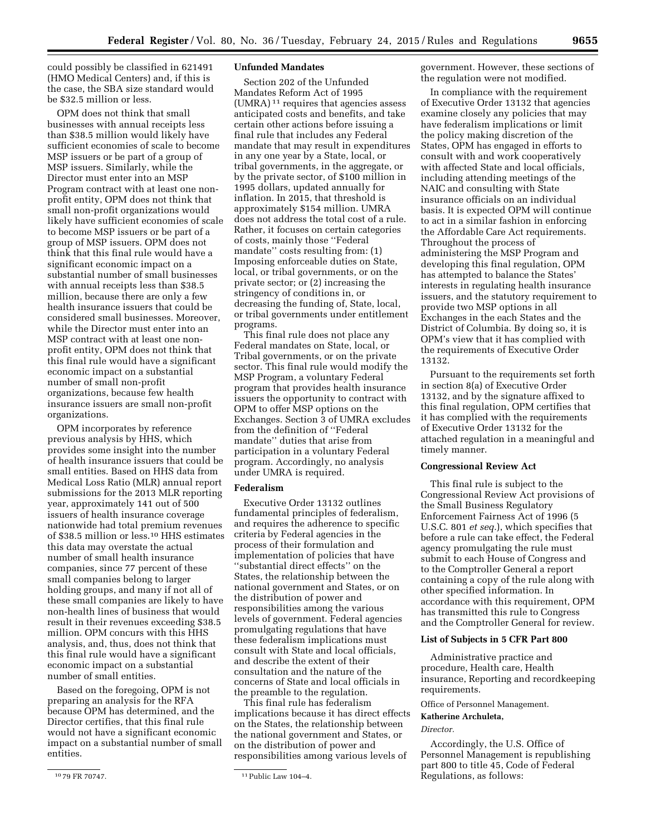could possibly be classified in 621491 (HMO Medical Centers) and, if this is the case, the SBA size standard would be \$32.5 million or less.

OPM does not think that small businesses with annual receipts less than \$38.5 million would likely have sufficient economies of scale to become MSP issuers or be part of a group of MSP issuers. Similarly, while the Director must enter into an MSP Program contract with at least one nonprofit entity, OPM does not think that small non-profit organizations would likely have sufficient economies of scale to become MSP issuers or be part of a group of MSP issuers. OPM does not think that this final rule would have a significant economic impact on a substantial number of small businesses with annual receipts less than \$38.5 million, because there are only a few health insurance issuers that could be considered small businesses. Moreover, while the Director must enter into an MSP contract with at least one nonprofit entity, OPM does not think that this final rule would have a significant economic impact on a substantial number of small non-profit organizations, because few health insurance issuers are small non-profit organizations.

OPM incorporates by reference previous analysis by HHS, which provides some insight into the number of health insurance issuers that could be small entities. Based on HHS data from Medical Loss Ratio (MLR) annual report submissions for the 2013 MLR reporting year, approximately 141 out of 500 issuers of health insurance coverage nationwide had total premium revenues of \$38.5 million or less.10 HHS estimates this data may overstate the actual number of small health insurance companies, since 77 percent of these small companies belong to larger holding groups, and many if not all of these small companies are likely to have non-health lines of business that would result in their revenues exceeding \$38.5 million. OPM concurs with this HHS analysis, and, thus, does not think that this final rule would have a significant economic impact on a substantial number of small entities.

Based on the foregoing, OPM is not preparing an analysis for the RFA because OPM has determined, and the Director certifies, that this final rule would not have a significant economic impact on a substantial number of small entities.

#### **Unfunded Mandates**

Section 202 of the Unfunded Mandates Reform Act of 1995 (UMRA) 11 requires that agencies assess anticipated costs and benefits, and take certain other actions before issuing a final rule that includes any Federal mandate that may result in expenditures in any one year by a State, local, or tribal governments, in the aggregate, or by the private sector, of \$100 million in 1995 dollars, updated annually for inflation. In 2015, that threshold is approximately \$154 million. UMRA does not address the total cost of a rule. Rather, it focuses on certain categories of costs, mainly those ''Federal mandate'' costs resulting from: (1) Imposing enforceable duties on State, local, or tribal governments, or on the private sector; or (2) increasing the stringency of conditions in, or decreasing the funding of, State, local, or tribal governments under entitlement programs.

This final rule does not place any Federal mandates on State, local, or Tribal governments, or on the private sector. This final rule would modify the MSP Program, a voluntary Federal program that provides health insurance issuers the opportunity to contract with OPM to offer MSP options on the Exchanges. Section 3 of UMRA excludes from the definition of ''Federal mandate'' duties that arise from participation in a voluntary Federal program. Accordingly, no analysis under UMRA is required.

## **Federalism**

Executive Order 13132 outlines fundamental principles of federalism, and requires the adherence to specific criteria by Federal agencies in the process of their formulation and implementation of policies that have ''substantial direct effects'' on the States, the relationship between the national government and States, or on the distribution of power and responsibilities among the various levels of government. Federal agencies promulgating regulations that have these federalism implications must consult with State and local officials, and describe the extent of their consultation and the nature of the concerns of State and local officials in the preamble to the regulation.

This final rule has federalism implications because it has direct effects on the States, the relationship between the national government and States, or on the distribution of power and responsibilities among various levels of

government. However, these sections of the regulation were not modified.

In compliance with the requirement of Executive Order 13132 that agencies examine closely any policies that may have federalism implications or limit the policy making discretion of the States, OPM has engaged in efforts to consult with and work cooperatively with affected State and local officials, including attending meetings of the NAIC and consulting with State insurance officials on an individual basis. It is expected OPM will continue to act in a similar fashion in enforcing the Affordable Care Act requirements. Throughout the process of administering the MSP Program and developing this final regulation, OPM has attempted to balance the States' interests in regulating health insurance issuers, and the statutory requirement to provide two MSP options in all Exchanges in the each States and the District of Columbia. By doing so, it is OPM's view that it has complied with the requirements of Executive Order 13132.

Pursuant to the requirements set forth in section 8(a) of Executive Order 13132, and by the signature affixed to this final regulation, OPM certifies that it has complied with the requirements of Executive Order 13132 for the attached regulation in a meaningful and timely manner.

#### **Congressional Review Act**

This final rule is subject to the Congressional Review Act provisions of the Small Business Regulatory Enforcement Fairness Act of 1996 (5 U.S.C. 801 *et seq.*), which specifies that before a rule can take effect, the Federal agency promulgating the rule must submit to each House of Congress and to the Comptroller General a report containing a copy of the rule along with other specified information. In accordance with this requirement, OPM has transmitted this rule to Congress and the Comptroller General for review.

## **List of Subjects in 5 CFR Part 800**

Administrative practice and procedure, Health care, Health insurance, Reporting and recordkeeping requirements.

Office of Personnel Management.

## **Katherine Archuleta,**

*Director.* 

Accordingly, the U.S. Office of Personnel Management is republishing part 800 to title 45, Code of Federal Regulations, as follows:

<sup>10</sup> 79 FR 70747. 11Public Law 104–4.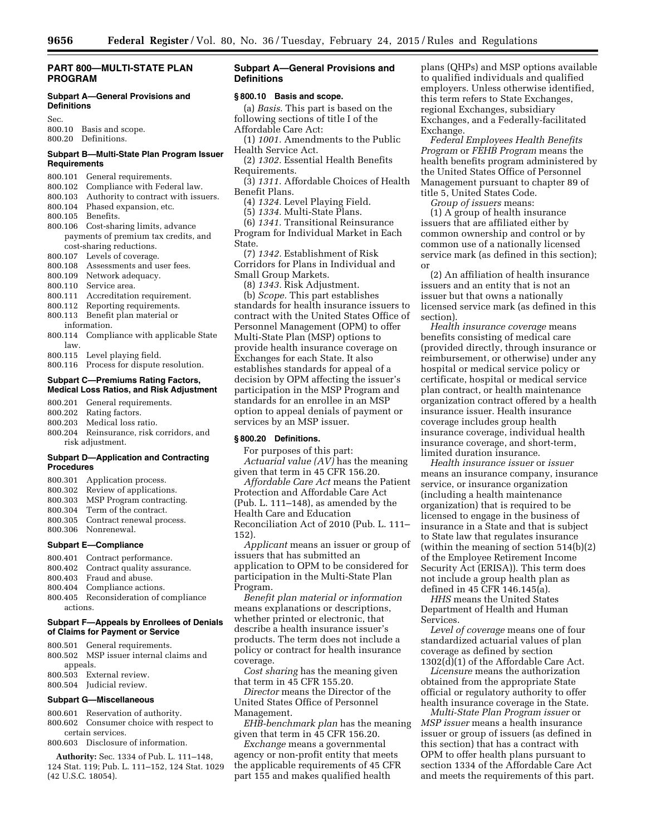## **PART 800—MULTI-STATE PLAN PROGRAM**

## **Subpart A—General Provisions and Definitions**

Sec.

800.10 Basis and scope. 800.20 Definitions.

## **Subpart B—Multi-State Plan Program Issuer Requirements**

- 800.101 General requirements.
- 800.102 Compliance with Federal law.
- 800.103 Authority to contract with issuers.
- 800.104 Phased expansion, etc.
- 800.105 Benefits.
- 800.106 Cost-sharing limits, advance payments of premium tax credits, and cost-sharing reductions.
- 800.107 Levels of coverage.
- 800.108 Assessments and user fees.
- 800.109 Network adequacy.
- 800.110 Service area.
- 800.111 Accreditation requirement.
- 800.112 Reporting requirements.
- 800.113 Benefit plan material or information.
- 800.114 Compliance with applicable State law.
- 800.115 Level playing field.
- 800.116 Process for dispute resolution.

## **Subpart C—Premiums Rating Factors, Medical Loss Ratios, and Risk Adjustment**

- 800.201 General requirements.
- 800.202 Rating factors.
- 800.203 Medical loss ratio.
- 800.204 Reinsurance, risk corridors, and risk adjustment.

## **Subpart D—Application and Contracting Procedures**

- 800.301 Application process.
- 800.302 Review of applications.
- 800.303 MSP Program contracting. 800.304 Term of the contract.
- 800.305 Contract renewal process.
- 800.306 Nonrenewal.

### **Subpart E—Compliance**

- 800.401 Contract performance.<br>800.402 Contract quality assure
- Contract quality assurance.
- 800.403 Fraud and abuse.
- 800.404 Compliance actions.
- 800.405 Reconsideration of compliance actions.

#### **Subpart F—Appeals by Enrollees of Denials of Claims for Payment or Service**

800.501 General requirements. 800.502 MSP issuer internal claims and appeals. 800.503 External review. 800.504 Judicial review.

## **Subpart G—Miscellaneous**

800.601 Reservation of authority. 800.602 Consumer choice with respect to certain services.

800.603 Disclosure of information.

**Authority:** Sec. 1334 of Pub. L. 111–148, 124 Stat. 119; Pub. L. 111–152, 124 Stat. 1029 (42 U.S.C. 18054).

## **Subpart A—General Provisions and Definitions**

#### **§ 800.10 Basis and scope.**

- (a) *Basis*. This part is based on the following sections of title I of the Affordable Care Act:
- (1) *1001.* Amendments to the Public
- Health Service Act.
- (2) *1302.* Essential Health Benefits Requirements.
- (3) *1311.* Affordable Choices of Health Benefit Plans.
	- (4) *1324.* Level Playing Field.
	- (5) *1334.* Multi-State Plans.

(6) *1341.* Transitional Reinsurance Program for Individual Market in Each State.

- (7) *1342.* Establishment of Risk Corridors for Plans in Individual and Small Group Markets.
	- (8) *1343.* Risk Adjustment.

(b) *Scope.* This part establishes standards for health insurance issuers to contract with the United States Office of Personnel Management (OPM) to offer Multi-State Plan (MSP) options to provide health insurance coverage on Exchanges for each State. It also establishes standards for appeal of a decision by OPM affecting the issuer's participation in the MSP Program and standards for an enrollee in an MSP option to appeal denials of payment or services by an MSP issuer.

## **§ 800.20 Definitions.**

For purposes of this part: *Actuarial value (AV)* has the meaning

given that term in 45 CFR 156.20. *Affordable Care Act* means the Patient Protection and Affordable Care Act (Pub. L. 111–148), as amended by the Health Care and Education Reconciliation Act of 2010 (Pub. L. 111– 152).

*Applicant* means an issuer or group of issuers that has submitted an application to OPM to be considered for participation in the Multi-State Plan Program.

*Benefit plan material or information*  means explanations or descriptions, whether printed or electronic, that describe a health insurance issuer's products. The term does not include a policy or contract for health insurance coverage.

*Cost sharing* has the meaning given that term in 45 CFR 155.20.

*Director* means the Director of the United States Office of Personnel Management.

*EHB-benchmark plan* has the meaning given that term in 45 CFR 156.20.

*Exchange* means a governmental agency or non-profit entity that meets the applicable requirements of 45 CFR part 155 and makes qualified health

plans (QHPs) and MSP options available to qualified individuals and qualified employers. Unless otherwise identified, this term refers to State Exchanges, regional Exchanges, subsidiary Exchanges, and a Federally-facilitated Exchange.

*Federal Employees Health Benefits Program* or *FEHB Program* means the health benefits program administered by the United States Office of Personnel Management pursuant to chapter 89 of title 5, United States Code.

*Group of issuers* means:

(1) A group of health insurance issuers that are affiliated either by common ownership and control or by common use of a nationally licensed service mark (as defined in this section); or

(2) An affiliation of health insurance issuers and an entity that is not an issuer but that owns a nationally licensed service mark (as defined in this section).

*Health insurance coverage* means benefits consisting of medical care (provided directly, through insurance or reimbursement, or otherwise) under any hospital or medical service policy or certificate, hospital or medical service plan contract, or health maintenance organization contract offered by a health insurance issuer. Health insurance coverage includes group health insurance coverage, individual health insurance coverage, and short-term, limited duration insurance.

*Health insurance issuer* or *issuer*  means an insurance company, insurance service, or insurance organization (including a health maintenance organization) that is required to be licensed to engage in the business of insurance in a State and that is subject to State law that regulates insurance (within the meaning of section 514(b)(2) of the Employee Retirement Income Security Act (ERISA)). This term does not include a group health plan as defined in 45 CFR 146.145(a).

*HHS* means the United States Department of Health and Human Services.

*Level of coverage* means one of four standardized actuarial values of plan coverage as defined by section 1302(d)(1) of the Affordable Care Act.

*Licensure* means the authorization obtained from the appropriate State official or regulatory authority to offer health insurance coverage in the State.

*Multi-State Plan Program issuer* or *MSP issuer* means a health insurance issuer or group of issuers (as defined in this section) that has a contract with OPM to offer health plans pursuant to section 1334 of the Affordable Care Act and meets the requirements of this part.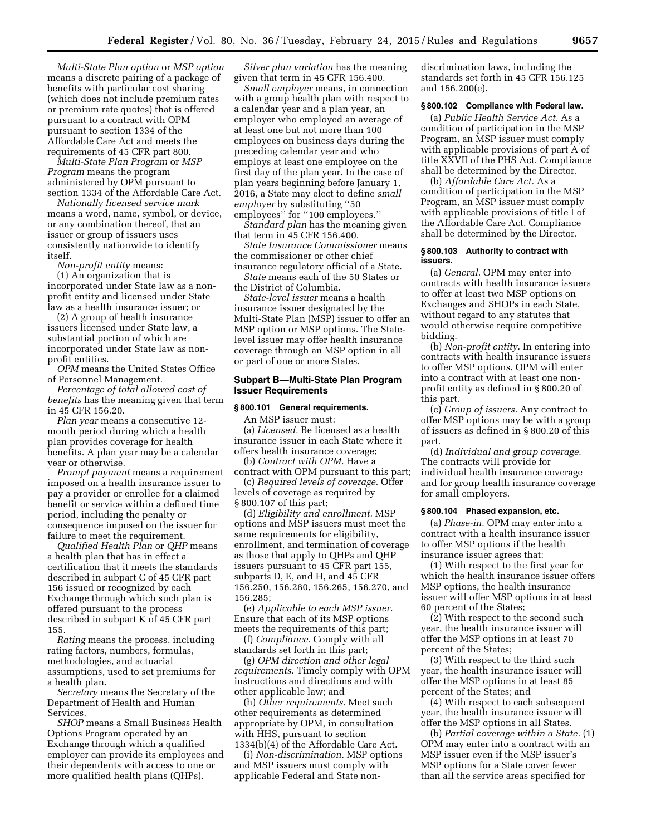*Multi-State Plan option* or *MSP option*  means a discrete pairing of a package of benefits with particular cost sharing (which does not include premium rates or premium rate quotes) that is offered pursuant to a contract with OPM pursuant to section 1334 of the Affordable Care Act and meets the requirements of 45 CFR part 800.

*Multi-State Plan Program* or *MSP Program* means the program administered by OPM pursuant to section 1334 of the Affordable Care Act.

*Nationally licensed service mark*  means a word, name, symbol, or device, or any combination thereof, that an issuer or group of issuers uses consistently nationwide to identify itself.

*Non-profit entity* means: (1) An organization that is incorporated under State law as a nonprofit entity and licensed under State law as a health insurance issuer; or

(2) A group of health insurance issuers licensed under State law, a substantial portion of which are incorporated under State law as nonprofit entities.

*OPM* means the United States Office of Personnel Management.

*Percentage of total allowed cost of benefits* has the meaning given that term in 45 CFR 156.20.

*Plan year* means a consecutive 12 month period during which a health plan provides coverage for health benefits. A plan year may be a calendar year or otherwise.

*Prompt payment* means a requirement imposed on a health insurance issuer to pay a provider or enrollee for a claimed benefit or service within a defined time period, including the penalty or consequence imposed on the issuer for failure to meet the requirement.

*Qualified Health Plan* or *QHP* means a health plan that has in effect a certification that it meets the standards described in subpart C of 45 CFR part 156 issued or recognized by each Exchange through which such plan is offered pursuant to the process described in subpart K of 45 CFR part 155.

*Rating* means the process, including rating factors, numbers, formulas, methodologies, and actuarial assumptions, used to set premiums for a health plan.

*Secretary* means the Secretary of the Department of Health and Human Services.

*SHOP* means a Small Business Health Options Program operated by an Exchange through which a qualified employer can provide its employees and their dependents with access to one or more qualified health plans (QHPs).

*Silver plan variation* has the meaning given that term in 45 CFR 156.400.

*Small employer* means, in connection with a group health plan with respect to a calendar year and a plan year, an employer who employed an average of at least one but not more than 100 employees on business days during the preceding calendar year and who employs at least one employee on the first day of the plan year. In the case of plan years beginning before January 1, 2016, a State may elect to define *small employer* by substituting ''50 employees'' for ''100 employees.''

*Standard plan* has the meaning given that term in 45 CFR 156.400.

*State Insurance Commissioner* means the commissioner or other chief insurance regulatory official of a State.

*State* means each of the 50 States or the District of Columbia.

*State-level issuer* means a health insurance issuer designated by the Multi-State Plan (MSP) issuer to offer an MSP option or MSP options. The Statelevel issuer may offer health insurance coverage through an MSP option in all or part of one or more States.

## **Subpart B—Multi-State Plan Program Issuer Requirements**

#### **§ 800.101 General requirements.**

An MSP issuer must: (a) *Licensed.* Be licensed as a health insurance issuer in each State where it offers health insurance coverage;

(b) *Contract with OPM.* Have a contract with OPM pursuant to this part;

(c) *Required levels of coverage.* Offer levels of coverage as required by § 800.107 of this part;

(d) *Eligibility and enrollment.* MSP options and MSP issuers must meet the same requirements for eligibility, enrollment, and termination of coverage as those that apply to QHPs and QHP issuers pursuant to 45 CFR part 155, subparts D, E, and H, and 45 CFR 156.250, 156.260, 156.265, 156.270, and 156.285;

(e) *Applicable to each MSP issuer.*  Ensure that each of its MSP options meets the requirements of this part;

(f) *Compliance.* Comply with all standards set forth in this part;

(g) *OPM direction and other legal requirements.* Timely comply with OPM instructions and directions and with other applicable law; and

(h) *Other requirements.* Meet such other requirements as determined appropriate by OPM, in consultation with HHS, pursuant to section 1334(b)(4) of the Affordable Care Act.

(i) *Non-discrimination.* MSP options and MSP issuers must comply with applicable Federal and State nondiscrimination laws, including the standards set forth in 45 CFR 156.125 and 156.200(e).

## **§ 800.102 Compliance with Federal law.**

(a) *Public Health Service Act.* As a condition of participation in the MSP Program, an MSP issuer must comply with applicable provisions of part A of title XXVII of the PHS Act. Compliance shall be determined by the Director.

(b) *Affordable Care Act.* As a condition of participation in the MSP Program, an MSP issuer must comply with applicable provisions of title I of the Affordable Care Act. Compliance shall be determined by the Director.

### **§ 800.103 Authority to contract with issuers.**

(a) *General.* OPM may enter into contracts with health insurance issuers to offer at least two MSP options on Exchanges and SHOPs in each State, without regard to any statutes that would otherwise require competitive bidding.

(b) *Non-profit entity.* In entering into contracts with health insurance issuers to offer MSP options, OPM will enter into a contract with at least one nonprofit entity as defined in § 800.20 of this part.

(c) *Group of issuers.* Any contract to offer MSP options may be with a group of issuers as defined in § 800.20 of this part.

(d) *Individual and group coverage.*  The contracts will provide for individual health insurance coverage and for group health insurance coverage for small employers.

#### **§ 800.104 Phased expansion, etc.**

(a) *Phase-in.* OPM may enter into a contract with a health insurance issuer to offer MSP options if the health insurance issuer agrees that:

(1) With respect to the first year for which the health insurance issuer offers MSP options, the health insurance issuer will offer MSP options in at least 60 percent of the States;

(2) With respect to the second such year, the health insurance issuer will offer the MSP options in at least 70 percent of the States;

(3) With respect to the third such year, the health insurance issuer will offer the MSP options in at least 85 percent of the States; and

(4) With respect to each subsequent year, the health insurance issuer will offer the MSP options in all States.

(b) *Partial coverage within a State.* (1) OPM may enter into a contract with an MSP issuer even if the MSP issuer's MSP options for a State cover fewer than all the service areas specified for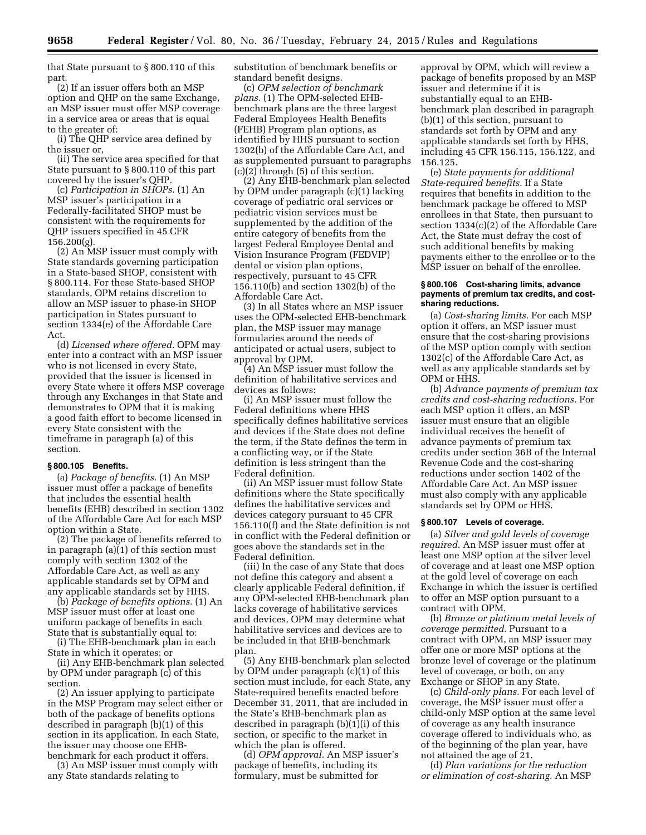that State pursuant to § 800.110 of this part.

(2) If an issuer offers both an MSP option and QHP on the same Exchange, an MSP issuer must offer MSP coverage in a service area or areas that is equal to the greater of:

(i) The QHP service area defined by the issuer or,

(ii) The service area specified for that State pursuant to § 800.110 of this part covered by the issuer's QHP.

(c) *Participation in SHOPs.* (1) An MSP issuer's participation in a Federally-facilitated SHOP must be consistent with the requirements for QHP issuers specified in 45 CFR 156.200(g).

(2) An MSP issuer must comply with State standards governing participation in a State-based SHOP, consistent with § 800.114. For these State-based SHOP standards, OPM retains discretion to allow an MSP issuer to phase-in SHOP participation in States pursuant to section 1334(e) of the Affordable Care Act.

(d) *Licensed where offered.* OPM may enter into a contract with an MSP issuer who is not licensed in every State, provided that the issuer is licensed in every State where it offers MSP coverage through any Exchanges in that State and demonstrates to OPM that it is making a good faith effort to become licensed in every State consistent with the timeframe in paragraph (a) of this section.

#### **§ 800.105 Benefits.**

(a) *Package of benefits.* (1) An MSP issuer must offer a package of benefits that includes the essential health benefits (EHB) described in section 1302 of the Affordable Care Act for each MSP option within a State.

(2) The package of benefits referred to in paragraph (a)(1) of this section must comply with section 1302 of the Affordable Care Act, as well as any applicable standards set by OPM and any applicable standards set by HHS.

(b) *Package of benefits options.* (1) An MSP issuer must offer at least one uniform package of benefits in each State that is substantially equal to:

(i) The EHB-benchmark plan in each State in which it operates; or

(ii) Any EHB-benchmark plan selected by OPM under paragraph (c) of this section.

(2) An issuer applying to participate in the MSP Program may select either or both of the package of benefits options described in paragraph (b)(1) of this section in its application. In each State, the issuer may choose one EHBbenchmark for each product it offers.

(3) An MSP issuer must comply with any State standards relating to

substitution of benchmark benefits or standard benefit designs.

(c) *OPM selection of benchmark plans.* (1) The OPM-selected EHBbenchmark plans are the three largest Federal Employees Health Benefits (FEHB) Program plan options, as identified by HHS pursuant to section 1302(b) of the Affordable Care Act, and as supplemented pursuant to paragraphs (c)(2) through (5) of this section.

(2) Any EHB-benchmark plan selected by OPM under paragraph (c)(1) lacking coverage of pediatric oral services or pediatric vision services must be supplemented by the addition of the entire category of benefits from the largest Federal Employee Dental and Vision Insurance Program (FEDVIP) dental or vision plan options, respectively, pursuant to 45 CFR 156.110(b) and section 1302(b) of the Affordable Care Act.

(3) In all States where an MSP issuer uses the OPM-selected EHB-benchmark plan, the MSP issuer may manage formularies around the needs of anticipated or actual users, subject to approval by OPM.

(4) An MSP issuer must follow the definition of habilitative services and devices as follows:

(i) An MSP issuer must follow the Federal definitions where HHS specifically defines habilitative services and devices if the State does not define the term, if the State defines the term in a conflicting way, or if the State definition is less stringent than the Federal definition.

(ii) An MSP issuer must follow State definitions where the State specifically defines the habilitative services and devices category pursuant to 45 CFR 156.110(f) and the State definition is not in conflict with the Federal definition or goes above the standards set in the Federal definition.

(iii) In the case of any State that does not define this category and absent a clearly applicable Federal definition, if any OPM-selected EHB-benchmark plan lacks coverage of habilitative services and devices, OPM may determine what habilitative services and devices are to be included in that EHB-benchmark plan.

(5) Any EHB-benchmark plan selected by OPM under paragraph (c)(1) of this section must include, for each State, any State-required benefits enacted before December 31, 2011, that are included in the State's EHB-benchmark plan as described in paragraph  $(b)(1)(i)$  of this section, or specific to the market in which the plan is offered.

(d) *OPM approval.* An MSP issuer's package of benefits, including its formulary, must be submitted for

approval by OPM, which will review a package of benefits proposed by an MSP issuer and determine if it is substantially equal to an EHBbenchmark plan described in paragraph (b)(1) of this section, pursuant to standards set forth by OPM and any applicable standards set forth by HHS, including 45 CFR 156.115, 156.122, and 156.125.

(e) *State payments for additional State-required benefits.* If a State requires that benefits in addition to the benchmark package be offered to MSP enrollees in that State, then pursuant to section 1334(c)(2) of the Affordable Care Act, the State must defray the cost of such additional benefits by making payments either to the enrollee or to the MSP issuer on behalf of the enrollee.

### **§ 800.106 Cost-sharing limits, advance payments of premium tax credits, and costsharing reductions.**

(a) *Cost-sharing limits.* For each MSP option it offers, an MSP issuer must ensure that the cost-sharing provisions of the MSP option comply with section 1302(c) of the Affordable Care Act, as well as any applicable standards set by OPM or HHS.

(b) *Advance payments of premium tax credits and cost-sharing reductions.* For each MSP option it offers, an MSP issuer must ensure that an eligible individual receives the benefit of advance payments of premium tax credits under section 36B of the Internal Revenue Code and the cost-sharing reductions under section 1402 of the Affordable Care Act. An MSP issuer must also comply with any applicable standards set by OPM or HHS.

#### **§ 800.107 Levels of coverage.**

(a) *Silver and gold levels of coverage required.* An MSP issuer must offer at least one MSP option at the silver level of coverage and at least one MSP option at the gold level of coverage on each Exchange in which the issuer is certified to offer an MSP option pursuant to a contract with OPM.

(b) *Bronze or platinum metal levels of coverage permitted.* Pursuant to a contract with OPM, an MSP issuer may offer one or more MSP options at the bronze level of coverage or the platinum level of coverage, or both, on any Exchange or SHOP in any State.

(c) *Child-only plans.* For each level of coverage, the MSP issuer must offer a child-only MSP option at the same level of coverage as any health insurance coverage offered to individuals who, as of the beginning of the plan year, have not attained the age of 21.

(d) *Plan variations for the reduction or elimination of cost-sharing.* An MSP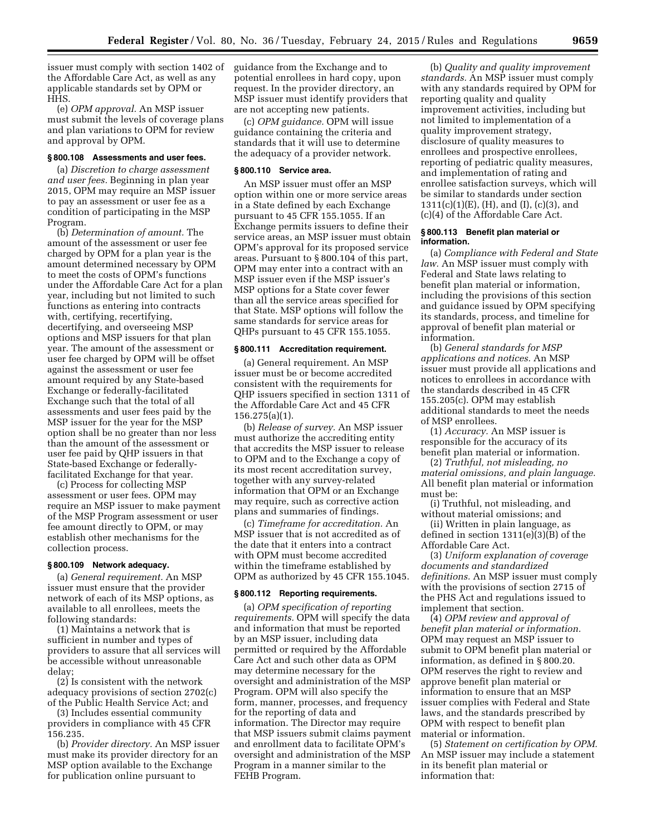issuer must comply with section 1402 of the Affordable Care Act, as well as any applicable standards set by OPM or HHS.

(e) *OPM approval.* An MSP issuer must submit the levels of coverage plans and plan variations to OPM for review and approval by OPM.

### **§ 800.108 Assessments and user fees.**

(a) *Discretion to charge assessment and user fees.* Beginning in plan year 2015, OPM may require an MSP issuer to pay an assessment or user fee as a condition of participating in the MSP Program.

(b) *Determination of amount.* The amount of the assessment or user fee charged by OPM for a plan year is the amount determined necessary by OPM to meet the costs of OPM's functions under the Affordable Care Act for a plan year, including but not limited to such functions as entering into contracts with, certifying, recertifying, decertifying, and overseeing MSP options and MSP issuers for that plan year. The amount of the assessment or user fee charged by OPM will be offset against the assessment or user fee amount required by any State-based Exchange or federally-facilitated Exchange such that the total of all assessments and user fees paid by the MSP issuer for the year for the MSP option shall be no greater than nor less than the amount of the assessment or user fee paid by QHP issuers in that State-based Exchange or federallyfacilitated Exchange for that year.

(c) Process for collecting MSP assessment or user fees. OPM may require an MSP issuer to make payment of the MSP Program assessment or user fee amount directly to OPM, or may establish other mechanisms for the collection process.

#### **§ 800.109 Network adequacy.**

(a) *General requirement.* An MSP issuer must ensure that the provider network of each of its MSP options, as available to all enrollees, meets the following standards:

(1) Maintains a network that is sufficient in number and types of providers to assure that all services will be accessible without unreasonable delay;

(2) Is consistent with the network adequacy provisions of section 2702(c) of the Public Health Service Act; and

(3) Includes essential community providers in compliance with 45 CFR 156.235.

(b) *Provider directory.* An MSP issuer must make its provider directory for an MSP option available to the Exchange for publication online pursuant to

guidance from the Exchange and to potential enrollees in hard copy, upon request. In the provider directory, an MSP issuer must identify providers that are not accepting new patients.

(c) *OPM guidance.* OPM will issue guidance containing the criteria and standards that it will use to determine the adequacy of a provider network.

#### **§ 800.110 Service area.**

An MSP issuer must offer an MSP option within one or more service areas in a State defined by each Exchange pursuant to 45 CFR 155.1055. If an Exchange permits issuers to define their service areas, an MSP issuer must obtain OPM's approval for its proposed service areas. Pursuant to § 800.104 of this part, OPM may enter into a contract with an MSP issuer even if the MSP issuer's MSP options for a State cover fewer than all the service areas specified for that State. MSP options will follow the same standards for service areas for QHPs pursuant to 45 CFR 155.1055.

## **§ 800.111 Accreditation requirement.**

(a) General requirement. An MSP issuer must be or become accredited consistent with the requirements for QHP issuers specified in section 1311 of the Affordable Care Act and 45 CFR 156.275(a)(1).

(b) *Release of survey.* An MSP issuer must authorize the accrediting entity that accredits the MSP issuer to release to OPM and to the Exchange a copy of its most recent accreditation survey, together with any survey-related information that OPM or an Exchange may require, such as corrective action plans and summaries of findings.

(c) *Timeframe for accreditation.* An MSP issuer that is not accredited as of the date that it enters into a contract with OPM must become accredited within the timeframe established by OPM as authorized by 45 CFR 155.1045.

### **§ 800.112 Reporting requirements.**

(a) *OPM specification of reporting requirements.* OPM will specify the data and information that must be reported by an MSP issuer, including data permitted or required by the Affordable Care Act and such other data as OPM may determine necessary for the oversight and administration of the MSP Program. OPM will also specify the form, manner, processes, and frequency for the reporting of data and information. The Director may require that MSP issuers submit claims payment and enrollment data to facilitate OPM's oversight and administration of the MSP Program in a manner similar to the FEHB Program.

(b) *Quality and quality improvement standards.* An MSP issuer must comply with any standards required by OPM for reporting quality and quality improvement activities, including but not limited to implementation of a quality improvement strategy, disclosure of quality measures to enrollees and prospective enrollees, reporting of pediatric quality measures, and implementation of rating and enrollee satisfaction surveys, which will be similar to standards under section 1311(c)(1)(E), (H), and (I), (c)(3), and (c)(4) of the Affordable Care Act.

## **§ 800.113 Benefit plan material or information.**

(a) *Compliance with Federal and State law.* An MSP issuer must comply with Federal and State laws relating to benefit plan material or information, including the provisions of this section and guidance issued by OPM specifying its standards, process, and timeline for approval of benefit plan material or information.

(b) *General standards for MSP applications and notices.* An MSP issuer must provide all applications and notices to enrollees in accordance with the standards described in 45 CFR 155.205(c). OPM may establish additional standards to meet the needs of MSP enrollees.

(1) *Accuracy.* An MSP issuer is responsible for the accuracy of its benefit plan material or information.

(2) *Truthful, not misleading, no material omissions, and plain language.*  All benefit plan material or information must be:

(i) Truthful, not misleading, and without material omissions; and

(ii) Written in plain language, as defined in section 1311(e)(3)(B) of the Affordable Care Act.

(3) *Uniform explanation of coverage documents and standardized definitions.* An MSP issuer must comply with the provisions of section 2715 of the PHS Act and regulations issued to implement that section.

(4) *OPM review and approval of benefit plan material or information.*  OPM may request an MSP issuer to submit to OPM benefit plan material or information, as defined in § 800.20. OPM reserves the right to review and approve benefit plan material or information to ensure that an MSP issuer complies with Federal and State laws, and the standards prescribed by OPM with respect to benefit plan material or information.

(5) *Statement on certification by OPM.*  An MSP issuer may include a statement in its benefit plan material or information that: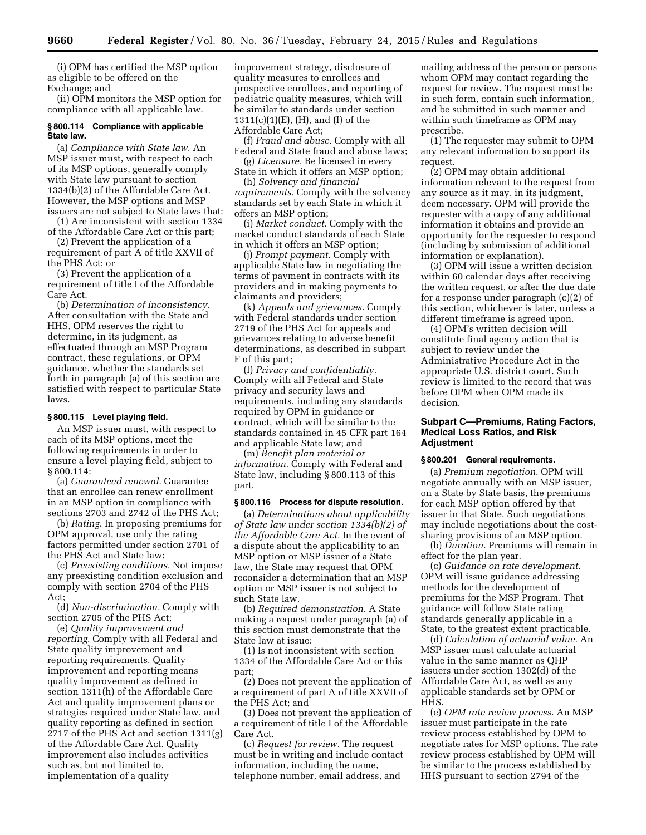(i) OPM has certified the MSP option as eligible to be offered on the Exchange; and

(ii) OPM monitors the MSP option for compliance with all applicable law.

## **§ 800.114 Compliance with applicable State law.**

(a) *Compliance with State law.* An MSP issuer must, with respect to each of its MSP options, generally comply with State law pursuant to section 1334(b)(2) of the Affordable Care Act. However, the MSP options and MSP issuers are not subject to State laws that:

(1) Are inconsistent with section 1334 of the Affordable Care Act or this part;

(2) Prevent the application of a requirement of part A of title XXVII of the PHS Act; or

(3) Prevent the application of a requirement of title I of the Affordable Care Act.

(b) *Determination of inconsistency.*  After consultation with the State and HHS, OPM reserves the right to determine, in its judgment, as effectuated through an MSP Program contract, these regulations, or OPM guidance, whether the standards set forth in paragraph (a) of this section are satisfied with respect to particular State laws.

### **§ 800.115 Level playing field.**

An MSP issuer must, with respect to each of its MSP options, meet the following requirements in order to ensure a level playing field, subject to § 800.114:

(a) *Guaranteed renewal.* Guarantee that an enrollee can renew enrollment in an MSP option in compliance with sections 2703 and 2742 of the PHS Act;

(b) *Rating.* In proposing premiums for OPM approval, use only the rating factors permitted under section 2701 of the PHS Act and State law;

(c) *Preexisting conditions.* Not impose any preexisting condition exclusion and comply with section 2704 of the PHS Act;

(d) *Non-discrimination.* Comply with section 2705 of the PHS Act;

(e) *Quality improvement and reporting.* Comply with all Federal and State quality improvement and reporting requirements. Quality improvement and reporting means quality improvement as defined in section 1311(h) of the Affordable Care Act and quality improvement plans or strategies required under State law, and quality reporting as defined in section 2717 of the PHS Act and section 1311(g) of the Affordable Care Act. Quality improvement also includes activities such as, but not limited to, implementation of a quality

improvement strategy, disclosure of quality measures to enrollees and prospective enrollees, and reporting of pediatric quality measures, which will be similar to standards under section 1311(c)(1)(E), (H), and (I) of the Affordable Care Act;

(f) *Fraud and abuse.* Comply with all Federal and State fraud and abuse laws;

(g) *Licensure.* Be licensed in every State in which it offers an MSP option;

(h) *Solvency and financial requirements.* Comply with the solvency standards set by each State in which it offers an MSP option;

(i) *Market conduct.* Comply with the market conduct standards of each State in which it offers an MSP option;

(j) *Prompt payment.* Comply with applicable State law in negotiating the terms of payment in contracts with its providers and in making payments to claimants and providers;

(k) *Appeals and grievances.* Comply with Federal standards under section 2719 of the PHS Act for appeals and grievances relating to adverse benefit determinations, as described in subpart F of this part;

(l) *Privacy and confidentiality.*  Comply with all Federal and State privacy and security laws and requirements, including any standards required by OPM in guidance or contract, which will be similar to the standards contained in 45 CFR part 164 and applicable State law; and

(m) *Benefit plan material or information.* Comply with Federal and State law, including § 800.113 of this part.

#### **§ 800.116 Process for dispute resolution.**

(a) *Determinations about applicability of State law under section 1334(b)(2) of the Affordable Care Act.* In the event of a dispute about the applicability to an MSP option or MSP issuer of a State law, the State may request that OPM reconsider a determination that an MSP option or MSP issuer is not subject to such State law.

(b) *Required demonstration.* A State making a request under paragraph (a) of this section must demonstrate that the State law at issue:

(1) Is not inconsistent with section 1334 of the Affordable Care Act or this part;

(2) Does not prevent the application of a requirement of part A of title XXVII of the PHS Act; and

(3) Does not prevent the application of a requirement of title I of the Affordable Care Act.

(c) *Request for review.* The request must be in writing and include contact information, including the name, telephone number, email address, and

mailing address of the person or persons whom OPM may contact regarding the request for review. The request must be in such form, contain such information, and be submitted in such manner and within such timeframe as OPM may prescribe.

(1) The requester may submit to OPM any relevant information to support its request.

(2) OPM may obtain additional information relevant to the request from any source as it may, in its judgment, deem necessary. OPM will provide the requester with a copy of any additional information it obtains and provide an opportunity for the requester to respond (including by submission of additional information or explanation).

(3) OPM will issue a written decision within 60 calendar days after receiving the written request, or after the due date for a response under paragraph (c)(2) of this section, whichever is later, unless a different timeframe is agreed upon.

(4) OPM's written decision will constitute final agency action that is subject to review under the Administrative Procedure Act in the appropriate U.S. district court. Such review is limited to the record that was before OPM when OPM made its decision.

## **Subpart C—Premiums, Rating Factors, Medical Loss Ratios, and Risk Adjustment**

## **§ 800.201 General requirements.**

(a) *Premium negotiation.* OPM will negotiate annually with an MSP issuer, on a State by State basis, the premiums for each MSP option offered by that issuer in that State. Such negotiations may include negotiations about the costsharing provisions of an MSP option.

(b) *Duration.* Premiums will remain in effect for the plan year.

(c) *Guidance on rate development.*  OPM will issue guidance addressing methods for the development of premiums for the MSP Program. That guidance will follow State rating standards generally applicable in a State, to the greatest extent practicable.

(d) *Calculation of actuarial value.* An MSP issuer must calculate actuarial value in the same manner as QHP issuers under section 1302(d) of the Affordable Care Act, as well as any applicable standards set by OPM or HHS.

(e) *OPM rate review process.* An MSP issuer must participate in the rate review process established by OPM to negotiate rates for MSP options. The rate review process established by OPM will be similar to the process established by HHS pursuant to section 2794 of the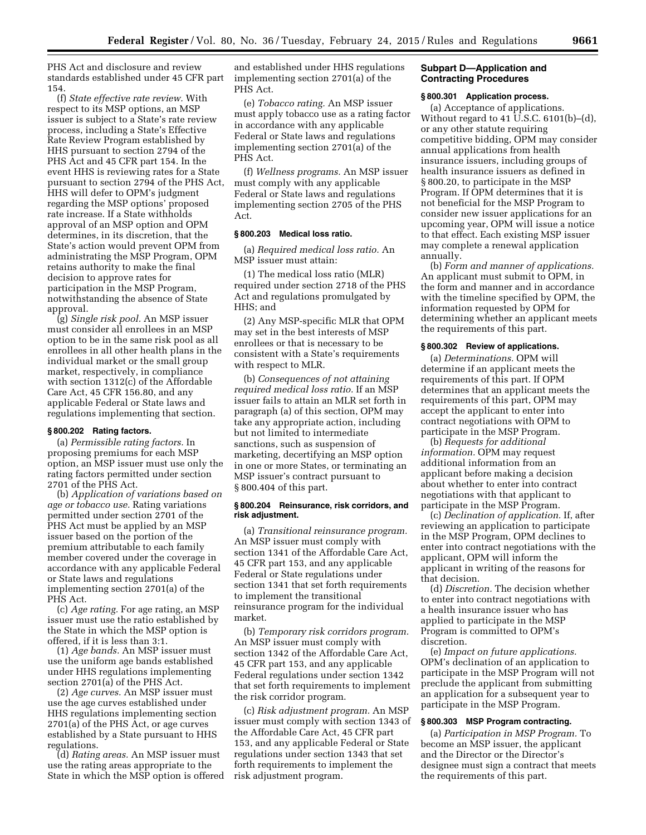PHS Act and disclosure and review standards established under 45 CFR part 154.

(f) *State effective rate review.* With respect to its MSP options, an MSP issuer is subject to a State's rate review process, including a State's Effective Rate Review Program established by HHS pursuant to section 2794 of the PHS Act and 45 CFR part 154. In the event HHS is reviewing rates for a State pursuant to section 2794 of the PHS Act, HHS will defer to OPM's judgment regarding the MSP options' proposed rate increase. If a State withholds approval of an MSP option and OPM determines, in its discretion, that the State's action would prevent OPM from administrating the MSP Program, OPM retains authority to make the final decision to approve rates for participation in the MSP Program, notwithstanding the absence of State approval.

(g) *Single risk pool.* An MSP issuer must consider all enrollees in an MSP option to be in the same risk pool as all enrollees in all other health plans in the individual market or the small group market, respectively, in compliance with section 1312(c) of the Affordable Care Act, 45 CFR 156.80, and any applicable Federal or State laws and regulations implementing that section.

## **§ 800.202 Rating factors.**

(a) *Permissible rating factors.* In proposing premiums for each MSP option, an MSP issuer must use only the rating factors permitted under section 2701 of the PHS Act.

(b) *Application of variations based on age or tobacco use.* Rating variations permitted under section 2701 of the PHS Act must be applied by an MSP issuer based on the portion of the premium attributable to each family member covered under the coverage in accordance with any applicable Federal or State laws and regulations implementing section 2701(a) of the PHS Act.

(c) *Age rating.* For age rating, an MSP issuer must use the ratio established by the State in which the MSP option is offered, if it is less than 3:1.

(1) *Age bands.* An MSP issuer must use the uniform age bands established under HHS regulations implementing section 2701(a) of the PHS Act.

(2) *Age curves.* An MSP issuer must use the age curves established under HHS regulations implementing section 2701(a) of the PHS Act, or age curves established by a State pursuant to HHS regulations.

(d) *Rating areas.* An MSP issuer must use the rating areas appropriate to the State in which the MSP option is offered

and established under HHS regulations implementing section 2701(a) of the PHS Act.

(e) *Tobacco rating.* An MSP issuer must apply tobacco use as a rating factor in accordance with any applicable Federal or State laws and regulations implementing section 2701(a) of the PHS Act.

(f) *Wellness programs.* An MSP issuer must comply with any applicable Federal or State laws and regulations implementing section 2705 of the PHS Act.

## **§ 800.203 Medical loss ratio.**

(a) *Required medical loss ratio.* An MSP issuer must attain:

(1) The medical loss ratio (MLR) required under section 2718 of the PHS Act and regulations promulgated by HHS; and

(2) Any MSP-specific MLR that OPM may set in the best interests of MSP enrollees or that is necessary to be consistent with a State's requirements with respect to MLR.

(b) *Consequences of not attaining required medical loss ratio.* If an MSP issuer fails to attain an MLR set forth in paragraph (a) of this section, OPM may take any appropriate action, including but not limited to intermediate sanctions, such as suspension of marketing, decertifying an MSP option in one or more States, or terminating an MSP issuer's contract pursuant to § 800.404 of this part.

#### **§ 800.204 Reinsurance, risk corridors, and risk adjustment.**

(a) *Transitional reinsurance program.*  An MSP issuer must comply with section 1341 of the Affordable Care Act, 45 CFR part 153, and any applicable Federal or State regulations under section 1341 that set forth requirements to implement the transitional reinsurance program for the individual market.

(b) *Temporary risk corridors program.*  An MSP issuer must comply with section 1342 of the Affordable Care Act, 45 CFR part 153, and any applicable Federal regulations under section 1342 that set forth requirements to implement the risk corridor program.

(c) *Risk adjustment program.* An MSP issuer must comply with section 1343 of the Affordable Care Act, 45 CFR part 153, and any applicable Federal or State regulations under section 1343 that set forth requirements to implement the risk adjustment program.

## **Subpart D—Application and Contracting Procedures**

### **§ 800.301 Application process.**

(a) Acceptance of applications. Without regard to 41 U.S.C. 6101(b)–(d), or any other statute requiring competitive bidding, OPM may consider annual applications from health insurance issuers, including groups of health insurance issuers as defined in § 800.20, to participate in the MSP Program. If OPM determines that it is not beneficial for the MSP Program to consider new issuer applications for an upcoming year, OPM will issue a notice to that effect. Each existing MSP issuer may complete a renewal application annually.

(b) *Form and manner of applications.*  An applicant must submit to OPM, in the form and manner and in accordance with the timeline specified by OPM, the information requested by OPM for determining whether an applicant meets the requirements of this part.

## **§ 800.302 Review of applications.**

(a) *Determinations.* OPM will determine if an applicant meets the requirements of this part. If OPM determines that an applicant meets the requirements of this part, OPM may accept the applicant to enter into contract negotiations with OPM to participate in the MSP Program.

(b) *Requests for additional information.* OPM may request additional information from an applicant before making a decision about whether to enter into contract negotiations with that applicant to participate in the MSP Program.

(c) *Declination of application.* If, after reviewing an application to participate in the MSP Program, OPM declines to enter into contract negotiations with the applicant, OPM will inform the applicant in writing of the reasons for that decision.

(d) *Discretion.* The decision whether to enter into contract negotiations with a health insurance issuer who has applied to participate in the MSP Program is committed to OPM's discretion.

(e) *Impact on future applications.*  OPM's declination of an application to participate in the MSP Program will not preclude the applicant from submitting an application for a subsequent year to participate in the MSP Program.

## **§ 800.303 MSP Program contracting.**

(a) *Participation in MSP Program.* To become an MSP issuer, the applicant and the Director or the Director's designee must sign a contract that meets the requirements of this part.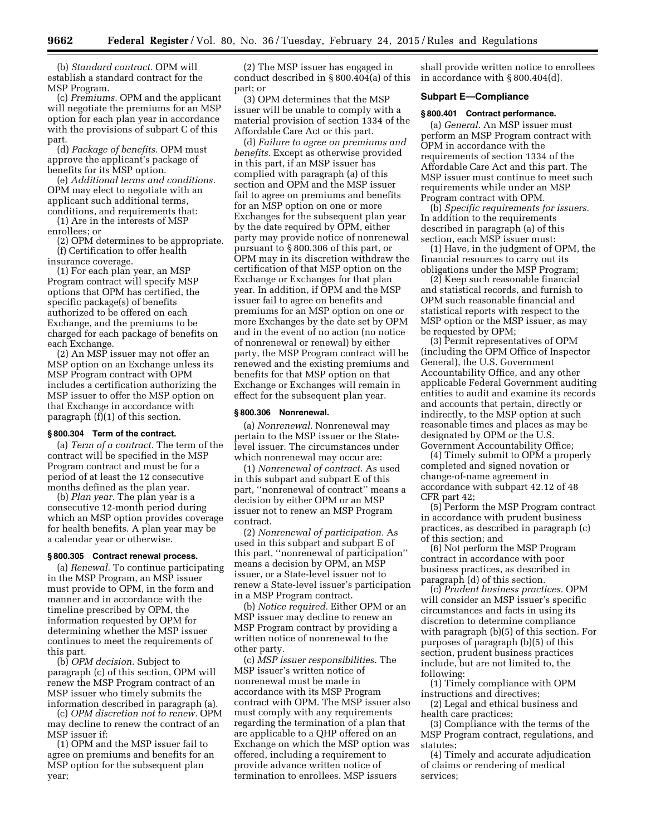(b) *Standard contract.* OPM will establish a standard contract for the MSP Program.

(c) *Premiums.* OPM and the applicant will negotiate the premiums for an MSP option for each plan year in accordance with the provisions of subpart C of this part.

(d) *Package of benefits.* OPM must approve the applicant's package of benefits for its MSP option.

(e) *Additional terms and conditions.*  OPM may elect to negotiate with an applicant such additional terms, conditions, and requirements that:

(1) Are in the interests of MSP enrollees; or

(2) OPM determines to be appropriate. (f) Certification to offer health insurance coverage.

(1) For each plan year, an MSP Program contract will specify MSP options that OPM has certified, the specific package(s) of benefits authorized to be offered on each Exchange, and the premiums to be charged for each package of benefits on each Exchange.

(2) An MSP issuer may not offer an MSP option on an Exchange unless its MSP Program contract with OPM includes a certification authorizing the MSP issuer to offer the MSP option on that Exchange in accordance with paragraph (f)(1) of this section.

## **§ 800.304 Term of the contract.**

(a) *Term of a contract.* The term of the contract will be specified in the MSP Program contract and must be for a period of at least the 12 consecutive months defined as the plan year.

(b) *Plan year.* The plan year is a consecutive 12-month period during which an MSP option provides coverage for health benefits. A plan year may be a calendar year or otherwise.

### **§ 800.305 Contract renewal process.**

(a) *Renewal.* To continue participating in the MSP Program, an MSP issuer must provide to OPM, in the form and manner and in accordance with the timeline prescribed by OPM, the information requested by OPM for determining whether the MSP issuer continues to meet the requirements of this part.

(b) *OPM decision.* Subject to paragraph (c) of this section, OPM will renew the MSP Program contract of an MSP issuer who timely submits the information described in paragraph (a).

(c) *OPM discretion not to renew.* OPM may decline to renew the contract of an MSP issuer if:

(1) OPM and the MSP issuer fail to agree on premiums and benefits for an MSP option for the subsequent plan year;

(2) The MSP issuer has engaged in conduct described in § 800.404(a) of this part; or

(3) OPM determines that the MSP issuer will be unable to comply with a material provision of section 1334 of the Affordable Care Act or this part.

(d) *Failure to agree on premiums and benefits.* Except as otherwise provided in this part, if an MSP issuer has complied with paragraph (a) of this section and OPM and the MSP issuer fail to agree on premiums and benefits for an MSP option on one or more Exchanges for the subsequent plan year by the date required by OPM, either party may provide notice of nonrenewal pursuant to § 800.306 of this part, or OPM may in its discretion withdraw the certification of that MSP option on the Exchange or Exchanges for that plan year. In addition, if OPM and the MSP issuer fail to agree on benefits and premiums for an MSP option on one or more Exchanges by the date set by OPM and in the event of no action (no notice of nonrenewal or renewal) by either party, the MSP Program contract will be renewed and the existing premiums and benefits for that MSP option on that Exchange or Exchanges will remain in effect for the subsequent plan year.

#### **§ 800.306 Nonrenewal.**

(a) *Nonrenewal.* Nonrenewal may pertain to the MSP issuer or the Statelevel issuer. The circumstances under which nonrenewal may occur are:

(1) *Nonrenewal of contract.* As used in this subpart and subpart E of this part, ''nonrenewal of contract'' means a decision by either OPM or an MSP issuer not to renew an MSP Program contract.

(2) *Nonrenewal of participation.* As used in this subpart and subpart E of this part, ''nonrenewal of participation'' means a decision by OPM, an MSP issuer, or a State-level issuer not to renew a State-level issuer's participation in a MSP Program contract.

(b) *Notice required.* Either OPM or an MSP issuer may decline to renew an MSP Program contract by providing a written notice of nonrenewal to the other party.

(c) *MSP issuer responsibilities.* The MSP issuer's written notice of nonrenewal must be made in accordance with its MSP Program contract with OPM. The MSP issuer also must comply with any requirements regarding the termination of a plan that are applicable to a QHP offered on an Exchange on which the MSP option was offered, including a requirement to provide advance written notice of termination to enrollees. MSP issuers

shall provide written notice to enrollees in accordance with § 800.404(d).

### **Subpart E—Compliance**

### **§ 800.401 Contract performance.**

(a) *General.* An MSP issuer must perform an MSP Program contract with OPM in accordance with the requirements of section 1334 of the Affordable Care Act and this part. The MSP issuer must continue to meet such requirements while under an MSP Program contract with OPM.

(b) *Specific requirements for issuers.*  In addition to the requirements described in paragraph (a) of this section, each MSP issuer must:

(1) Have, in the judgment of OPM, the financial resources to carry out its obligations under the MSP Program;

(2) Keep such reasonable financial and statistical records, and furnish to OPM such reasonable financial and statistical reports with respect to the MSP option or the MSP issuer, as may be requested by OPM;

(3) Permit representatives of OPM (including the OPM Office of Inspector General), the U.S. Government Accountability Office, and any other applicable Federal Government auditing entities to audit and examine its records and accounts that pertain, directly or indirectly, to the MSP option at such reasonable times and places as may be designated by OPM or the U.S. Government Accountability Office;

(4) Timely submit to OPM a properly completed and signed novation or change-of-name agreement in accordance with subpart 42.12 of 48 CFR part 42;

(5) Perform the MSP Program contract in accordance with prudent business practices, as described in paragraph (c) of this section; and

(6) Not perform the MSP Program contract in accordance with poor business practices, as described in paragraph (d) of this section.

(c) *Prudent business practices.* OPM will consider an MSP issuer's specific circumstances and facts in using its discretion to determine compliance with paragraph (b)(5) of this section. For purposes of paragraph (b)(5) of this section, prudent business practices include, but are not limited to, the following:

(1) Timely compliance with OPM instructions and directives;

(2) Legal and ethical business and health care practices;

(3) Compliance with the terms of the MSP Program contract, regulations, and statutes;

(4) Timely and accurate adjudication of claims or rendering of medical services;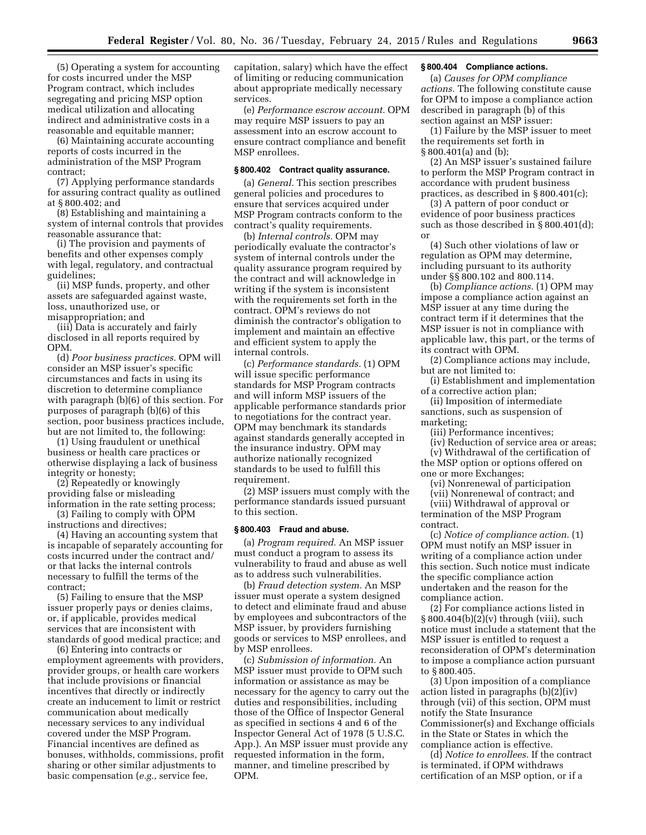(5) Operating a system for accounting for costs incurred under the MSP Program contract, which includes segregating and pricing MSP option medical utilization and allocating indirect and administrative costs in a reasonable and equitable manner;

(6) Maintaining accurate accounting reports of costs incurred in the administration of the MSP Program contract;

(7) Applying performance standards for assuring contract quality as outlined at § 800.402; and

(8) Establishing and maintaining a system of internal controls that provides reasonable assurance that:

(i) The provision and payments of benefits and other expenses comply with legal, regulatory, and contractual guidelines;

(ii) MSP funds, property, and other assets are safeguarded against waste, loss, unauthorized use, or misappropriation; and

(iii) Data is accurately and fairly disclosed in all reports required by OPM.

(d) *Poor business practices.* OPM will consider an MSP issuer's specific circumstances and facts in using its discretion to determine compliance with paragraph (b)(6) of this section. For purposes of paragraph (b)(6) of this section, poor business practices include, but are not limited to, the following:

(1) Using fraudulent or unethical business or health care practices or otherwise displaying a lack of business integrity or honesty;

(2) Repeatedly or knowingly providing false or misleading information in the rate setting process;

(3) Failing to comply with OPM instructions and directives;

(4) Having an accounting system that is incapable of separately accounting for costs incurred under the contract and/ or that lacks the internal controls necessary to fulfill the terms of the contract;

(5) Failing to ensure that the MSP issuer properly pays or denies claims, or, if applicable, provides medical services that are inconsistent with standards of good medical practice; and

(6) Entering into contracts or employment agreements with providers, provider groups, or health care workers that include provisions or financial incentives that directly or indirectly create an inducement to limit or restrict communication about medically necessary services to any individual covered under the MSP Program. Financial incentives are defined as bonuses, withholds, commissions, profit sharing or other similar adjustments to basic compensation (*e.g.,* service fee,

capitation, salary) which have the effect of limiting or reducing communication about appropriate medically necessary services.

(e) *Performance escrow account.* OPM may require MSP issuers to pay an assessment into an escrow account to ensure contract compliance and benefit MSP enrollees.

## **§ 800.402 Contract quality assurance.**

(a) *General.* This section prescribes general policies and procedures to ensure that services acquired under MSP Program contracts conform to the contract's quality requirements.

(b) *Internal controls.* OPM may periodically evaluate the contractor's system of internal controls under the quality assurance program required by the contract and will acknowledge in writing if the system is inconsistent with the requirements set forth in the contract. OPM's reviews do not diminish the contractor's obligation to implement and maintain an effective and efficient system to apply the internal controls.

(c) *Performance standards.* (1) OPM will issue specific performance standards for MSP Program contracts and will inform MSP issuers of the applicable performance standards prior to negotiations for the contract year. OPM may benchmark its standards against standards generally accepted in the insurance industry. OPM may authorize nationally recognized standards to be used to fulfill this requirement.

(2) MSP issuers must comply with the performance standards issued pursuant to this section.

#### **§ 800.403 Fraud and abuse.**

(a) *Program required.* An MSP issuer must conduct a program to assess its vulnerability to fraud and abuse as well as to address such vulnerabilities.

(b) *Fraud detection system.* An MSP issuer must operate a system designed to detect and eliminate fraud and abuse by employees and subcontractors of the MSP issuer, by providers furnishing goods or services to MSP enrollees, and by MSP enrollees.

(c) *Submission of information.* An MSP issuer must provide to OPM such information or assistance as may be necessary for the agency to carry out the duties and responsibilities, including those of the Office of Inspector General as specified in sections 4 and 6 of the Inspector General Act of 1978 (5 U.S.C. App.). An MSP issuer must provide any requested information in the form, manner, and timeline prescribed by OPM.

## **§ 800.404 Compliance actions.**

(a) *Causes for OPM compliance actions.* The following constitute cause for OPM to impose a compliance action described in paragraph (b) of this section against an MSP issuer:

(1) Failure by the MSP issuer to meet the requirements set forth in § 800.401(a) and (b);

(2) An MSP issuer's sustained failure to perform the MSP Program contract in accordance with prudent business practices, as described in § 800.401(c);

(3) A pattern of poor conduct or evidence of poor business practices such as those described in § 800.401(d); or

(4) Such other violations of law or regulation as OPM may determine, including pursuant to its authority under §§ 800.102 and 800.114.

(b) *Compliance actions.* (1) OPM may impose a compliance action against an MSP issuer at any time during the contract term if it determines that the MSP issuer is not in compliance with applicable law, this part, or the terms of its contract with OPM.

(2) Compliance actions may include, but are not limited to:

(i) Establishment and implementation of a corrective action plan;

(ii) Imposition of intermediate sanctions, such as suspension of marketing;

(iii) Performance incentives;

(iv) Reduction of service area or areas; (v) Withdrawal of the certification of

the MSP option or options offered on one or more Exchanges;

(vi) Nonrenewal of participation

(vii) Nonrenewal of contract; and

(viii) Withdrawal of approval or termination of the MSP Program contract.

(c) *Notice of compliance action.* (1) OPM must notify an MSP issuer in writing of a compliance action under this section. Such notice must indicate the specific compliance action undertaken and the reason for the compliance action.

(2) For compliance actions listed in § 800.404(b)(2)(v) through (viii), such notice must include a statement that the MSP issuer is entitled to request a reconsideration of OPM's determination to impose a compliance action pursuant to § 800.405.

(3) Upon imposition of a compliance action listed in paragraphs (b)(2)(iv) through (vii) of this section, OPM must notify the State Insurance Commissioner(s) and Exchange officials in the State or States in which the compliance action is effective.

(d) *Notice to enrollees.* If the contract is terminated, if OPM withdraws certification of an MSP option, or if a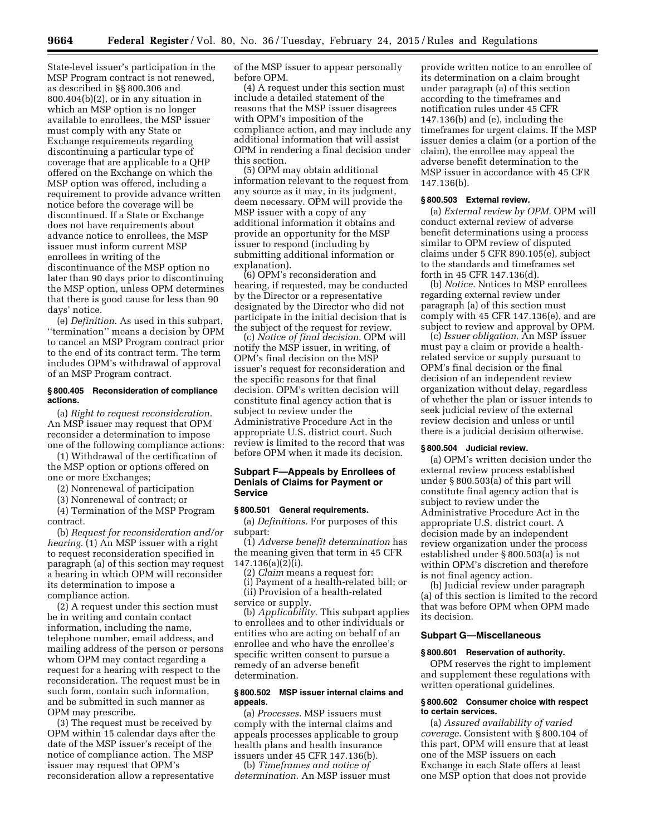State-level issuer's participation in the MSP Program contract is not renewed, as described in §§ 800.306 and  $800.404(b)(2)$ , or in any situation in which an MSP option is no longer available to enrollees, the MSP issuer must comply with any State or Exchange requirements regarding discontinuing a particular type of coverage that are applicable to a QHP offered on the Exchange on which the MSP option was offered, including a requirement to provide advance written notice before the coverage will be discontinued. If a State or Exchange does not have requirements about advance notice to enrollees, the MSP issuer must inform current MSP enrollees in writing of the discontinuance of the MSP option no later than 90 days prior to discontinuing the MSP option, unless OPM determines that there is good cause for less than 90 days' notice.

(e) *Definition.* As used in this subpart, ''termination'' means a decision by OPM to cancel an MSP Program contract prior to the end of its contract term. The term includes OPM's withdrawal of approval of an MSP Program contract.

#### **§ 800.405 Reconsideration of compliance actions.**

(a) *Right to request reconsideration.*  An MSP issuer may request that OPM reconsider a determination to impose one of the following compliance actions:

(1) Withdrawal of the certification of the MSP option or options offered on one or more Exchanges;

(2) Nonrenewal of participation

(3) Nonrenewal of contract; or

(4) Termination of the MSP Program contract.

(b) *Request for reconsideration and/or hearing.* (1) An MSP issuer with a right to request reconsideration specified in paragraph (a) of this section may request a hearing in which OPM will reconsider its determination to impose a compliance action.

(2) A request under this section must be in writing and contain contact information, including the name, telephone number, email address, and mailing address of the person or persons whom OPM may contact regarding a request for a hearing with respect to the reconsideration. The request must be in such form, contain such information, and be submitted in such manner as OPM may prescribe.

(3) The request must be received by OPM within 15 calendar days after the date of the MSP issuer's receipt of the notice of compliance action. The MSP issuer may request that OPM's reconsideration allow a representative

of the MSP issuer to appear personally before OPM.

(4) A request under this section must include a detailed statement of the reasons that the MSP issuer disagrees with OPM's imposition of the compliance action, and may include any additional information that will assist OPM in rendering a final decision under this section.

(5) OPM may obtain additional information relevant to the request from any source as it may, in its judgment, deem necessary. OPM will provide the MSP issuer with a copy of any additional information it obtains and provide an opportunity for the MSP issuer to respond (including by submitting additional information or explanation).

(6) OPM's reconsideration and hearing, if requested, may be conducted by the Director or a representative designated by the Director who did not participate in the initial decision that is the subject of the request for review.

(c) *Notice of final decision.* OPM will notify the MSP issuer, in writing, of OPM's final decision on the MSP issuer's request for reconsideration and the specific reasons for that final decision. OPM's written decision will constitute final agency action that is subject to review under the Administrative Procedure Act in the appropriate U.S. district court. Such review is limited to the record that was before OPM when it made its decision.

### **Subpart F—Appeals by Enrollees of Denials of Claims for Payment or Service**

## **§ 800.501 General requirements.**

(a) *Definitions.* For purposes of this subpart:

(1) *Adverse benefit determination* has the meaning given that term in 45 CFR 147.136(a)(2)(i).

(2) *Claim* means a request for:

(i) Payment of a health-related bill; or (ii) Provision of a health-related service or supply.

(b) *Applicability.* This subpart applies to enrollees and to other individuals or entities who are acting on behalf of an enrollee and who have the enrollee's specific written consent to pursue a remedy of an adverse benefit determination.

### **§ 800.502 MSP issuer internal claims and appeals.**

(a) *Processes.* MSP issuers must comply with the internal claims and appeals processes applicable to group health plans and health insurance issuers under 45 CFR 147.136(b).

(b) *Timeframes and notice of determination.* An MSP issuer must

provide written notice to an enrollee of its determination on a claim brought under paragraph (a) of this section according to the timeframes and notification rules under 45 CFR 147.136(b) and (e), including the timeframes for urgent claims. If the MSP issuer denies a claim (or a portion of the claim), the enrollee may appeal the adverse benefit determination to the MSP issuer in accordance with 45 CFR 147.136(b).

#### **§ 800.503 External review.**

(a) *External review by OPM.* OPM will conduct external review of adverse benefit determinations using a process similar to OPM review of disputed claims under 5 CFR 890.105(e), subject to the standards and timeframes set forth in 45 CFR 147.136(d).

(b) *Notice.* Notices to MSP enrollees regarding external review under paragraph (a) of this section must comply with 45 CFR 147.136(e), and are subject to review and approval by OPM.

(c) *Issuer obligation.* An MSP issuer must pay a claim or provide a healthrelated service or supply pursuant to OPM's final decision or the final decision of an independent review organization without delay, regardless of whether the plan or issuer intends to seek judicial review of the external review decision and unless or until there is a judicial decision otherwise.

## **§ 800.504 Judicial review.**

(a) OPM's written decision under the external review process established under § 800.503(a) of this part will constitute final agency action that is subject to review under the Administrative Procedure Act in the appropriate U.S. district court. A decision made by an independent review organization under the process established under § 800.503(a) is not within OPM's discretion and therefore is not final agency action.

(b) Judicial review under paragraph (a) of this section is limited to the record that was before OPM when OPM made its decision.

# **Subpart G—Miscellaneous**

#### **§ 800.601 Reservation of authority.**

OPM reserves the right to implement and supplement these regulations with written operational guidelines.

## **§ 800.602 Consumer choice with respect to certain services.**

(a) *Assured availability of varied coverage.* Consistent with § 800.104 of this part, OPM will ensure that at least one of the MSP issuers on each Exchange in each State offers at least one MSP option that does not provide